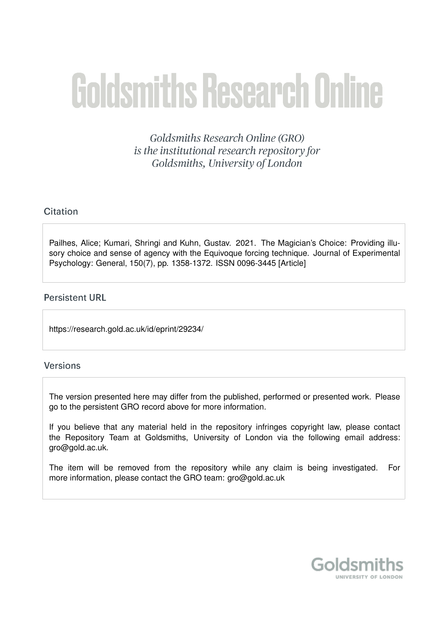# **Goldsmiths Research Online**

Goldsmiths Research Online (GRO) is the institutional research repository for Goldsmiths, University of London

# Citation

Pailhes, Alice; Kumari, Shringi and Kuhn, Gustav. 2021. The Magician's Choice: Providing illusory choice and sense of agency with the Equivoque forcing technique. Journal of Experimental Psychology: General, 150(7), pp. 1358-1372. ISSN 0096-3445 [Article]

# **Persistent URL**

https://research.gold.ac.uk/id/eprint/29234/

#### **Versions**

The version presented here may differ from the published, performed or presented work. Please go to the persistent GRO record above for more information.

If you believe that any material held in the repository infringes copyright law, please contact the Repository Team at Goldsmiths, University of London via the following email address: gro@gold.ac.uk.

The item will be removed from the repository while any claim is being investigated. For more information, please contact the GRO team: gro@gold.ac.uk

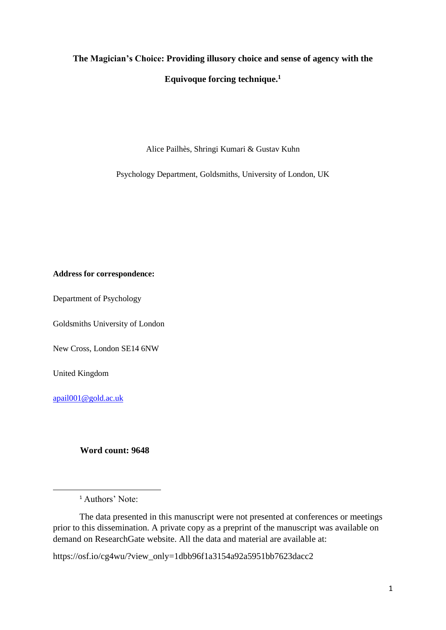# **The Magician's Choice: Providing illusory choice and sense of agency with the Equivoque forcing technique.<sup>1</sup>**

Alice Pailhès, Shringi Kumari & Gustav Kuhn

Psychology Department, Goldsmiths, University of London, UK

#### **Address for correspondence:**

Department of Psychology

Goldsmiths University of London

New Cross, London SE14 6NW

United Kingdom

[apail001@gold.ac.uk](mailto:apail001@gold.ac.uk)

#### **Word count: 9648**

The data presented in this manuscript were not presented at conferences or meetings prior to this dissemination. A private copy as a preprint of the manuscript was available on demand on ResearchGate website. All the data and material are available at:

https://osf.io/cg4wu/?view\_only=1dbb96f1a3154a92a5951bb7623dacc2

<sup>&</sup>lt;sup>1</sup> Authors' Note: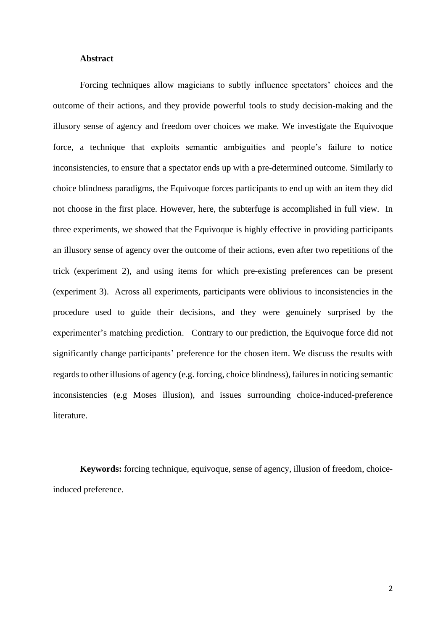#### **Abstract**

Forcing techniques allow magicians to subtly influence spectators' choices and the outcome of their actions, and they provide powerful tools to study decision-making and the illusory sense of agency and freedom over choices we make. We investigate the Equivoque force, a technique that exploits semantic ambiguities and people's failure to notice inconsistencies, to ensure that a spectator ends up with a pre-determined outcome. Similarly to choice blindness paradigms, the Equivoque forces participants to end up with an item they did not choose in the first place. However, here, the subterfuge is accomplished in full view. In three experiments, we showed that the Equivoque is highly effective in providing participants an illusory sense of agency over the outcome of their actions, even after two repetitions of the trick (experiment 2), and using items for which pre-existing preferences can be present (experiment 3). Across all experiments, participants were oblivious to inconsistencies in the procedure used to guide their decisions, and they were genuinely surprised by the experimenter's matching prediction. Contrary to our prediction, the Equivoque force did not significantly change participants' preference for the chosen item. We discuss the results with regards to other illusions of agency (e.g. forcing, choice blindness), failures in noticing semantic inconsistencies (e.g Moses illusion), and issues surrounding choice-induced-preference literature.

**Keywords:** forcing technique, equivoque, sense of agency, illusion of freedom, choiceinduced preference.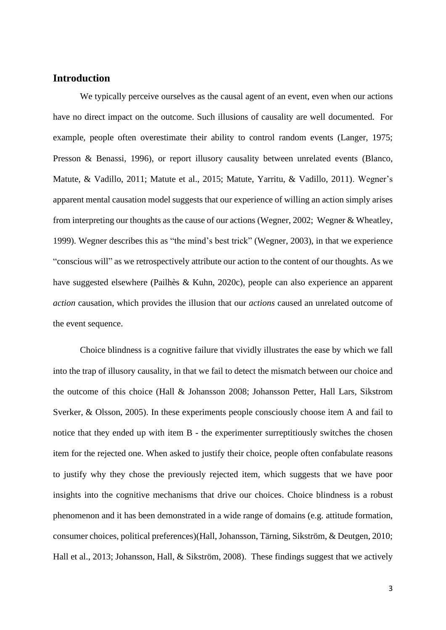## **Introduction**

We typically perceive ourselves as the causal agent of an event, even when our actions have no direct impact on the outcome. Such illusions of causality are well documented. For example, people often overestimate their ability to control random events (Langer, 1975; Presson & Benassi, 1996), or report illusory causality between unrelated events (Blanco, Matute, & Vadillo, 2011; Matute et al., 2015; Matute, Yarritu, & Vadillo, 2011). Wegner's apparent mental causation model suggests that our experience of willing an action simply arises from interpreting our thoughts as the cause of our actions (Wegner, 2002; Wegner & Wheatley, 1999). Wegner describes this as "the mind's best trick" (Wegner, 2003), in that we experience "conscious will" as we retrospectively attribute our action to the content of our thoughts. As we have suggested elsewhere (Pailhès & Kuhn, 2020c), people can also experience an apparent *action* causation, which provides the illusion that our *actions* caused an unrelated outcome of the event sequence.

Choice blindness is a cognitive failure that vividly illustrates the ease by which we fall into the trap of illusory causality, in that we fail to detect the mismatch between our choice and the outcome of this choice (Hall & Johansson 2008; Johansson Petter, Hall Lars, Sikstrom Sverker, & Olsson, 2005). In these experiments people consciously choose item A and fail to notice that they ended up with item B - the experimenter surreptitiously switches the chosen item for the rejected one. When asked to justify their choice, people often confabulate reasons to justify why they chose the previously rejected item, which suggests that we have poor insights into the cognitive mechanisms that drive our choices. Choice blindness is a robust phenomenon and it has been demonstrated in a wide range of domains (e.g. attitude formation, consumer choices, political preferences)(Hall, Johansson, Tärning, Sikström, & Deutgen, 2010; Hall et al., 2013; Johansson, Hall, & Sikström, 2008). These findings suggest that we actively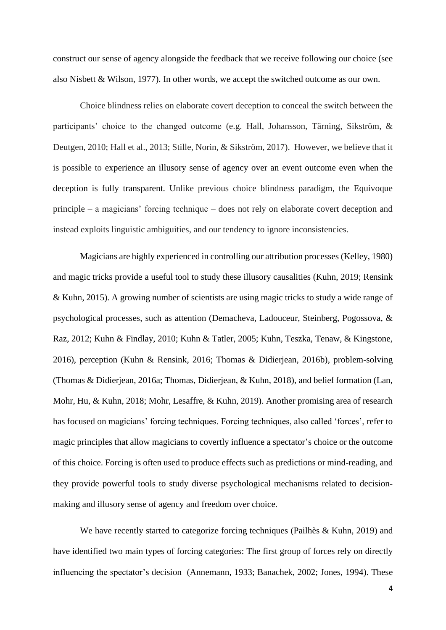construct our sense of agency alongside the feedback that we receive following our choice (see also Nisbett & Wilson, 1977). In other words, we accept the switched outcome as our own.

Choice blindness relies on elaborate covert deception to conceal the switch between the participants' choice to the changed outcome (e.g. Hall, Johansson, Tärning, Sikström, & Deutgen, 2010; Hall et al., 2013; Stille, Norin, & Sikström, 2017). However, we believe that it is possible to experience an illusory sense of agency over an event outcome even when the deception is fully transparent. Unlike previous choice blindness paradigm, the Equivoque principle – a magicians' forcing technique – does not rely on elaborate covert deception and instead exploits linguistic ambiguities, and our tendency to ignore inconsistencies.

Magicians are highly experienced in controlling our attribution processes (Kelley, 1980) and magic tricks provide a useful tool to study these illusory causalities (Kuhn, 2019; Rensink & Kuhn, 2015). A growing number of scientists are using magic tricks to study a wide range of psychological processes, such as attention (Demacheva, Ladouceur, Steinberg, Pogossova, & Raz, 2012; Kuhn & Findlay, 2010; Kuhn & Tatler, 2005; Kuhn, Teszka, Tenaw, & Kingstone, 2016), perception (Kuhn & Rensink, 2016; Thomas & Didierjean, 2016b), problem-solving (Thomas & Didierjean, 2016a; Thomas, Didierjean, & Kuhn, 2018), and belief formation (Lan, Mohr, Hu, & Kuhn, 2018; Mohr, Lesaffre, & Kuhn, 2019). Another promising area of research has focused on magicians' forcing techniques. Forcing techniques, also called 'forces', refer to magic principles that allow magicians to covertly influence a spectator's choice or the outcome of this choice. Forcing is often used to produce effects such as predictions or mind-reading, and they provide powerful tools to study diverse psychological mechanisms related to decisionmaking and illusory sense of agency and freedom over choice.

We have recently started to categorize forcing techniques (Pailhès & Kuhn, 2019) and have identified two main types of forcing categories: The first group of forces rely on directly influencing the spectator's decision (Annemann, 1933; Banachek, 2002; Jones, 1994). These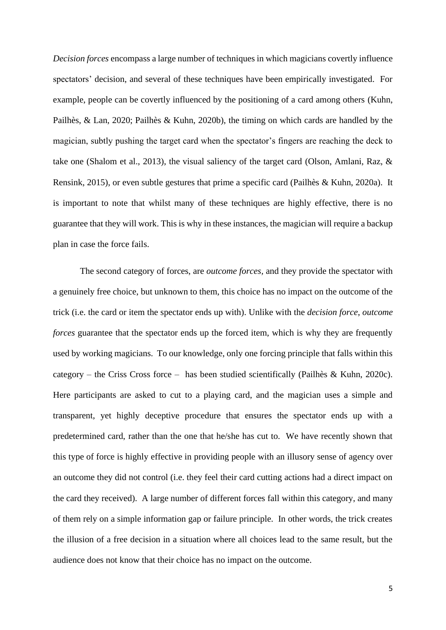*Decision forces* encompass a large number of techniques in which magicians covertly influence spectators' decision, and several of these techniques have been empirically investigated. For example, people can be covertly influenced by the positioning of a card among others (Kuhn, Pailhès, & Lan, 2020; Pailhès & Kuhn, 2020b), the timing on which cards are handled by the magician, subtly pushing the target card when the spectator's fingers are reaching the deck to take one (Shalom et al., 2013), the visual saliency of the target card (Olson, Amlani, Raz, & Rensink, 2015), or even subtle gestures that prime a specific card (Pailhès & Kuhn, 2020a). It is important to note that whilst many of these techniques are highly effective, there is no guarantee that they will work. This is why in these instances, the magician will require a backup plan in case the force fails.

The second category of forces, are *outcome forces,* and they provide the spectator with a genuinely free choice, but unknown to them, this choice has no impact on the outcome of the trick (i.e. the card or item the spectator ends up with). Unlike with the *decision force*, *outcome forces* guarantee that the spectator ends up the forced item, which is why they are frequently used by working magicians. To our knowledge, only one forcing principle that falls within this category – the Criss Cross force – has been studied scientifically (Pailhès & Kuhn, 2020c). Here participants are asked to cut to a playing card, and the magician uses a simple and transparent, yet highly deceptive procedure that ensures the spectator ends up with a predetermined card, rather than the one that he/she has cut to. We have recently shown that this type of force is highly effective in providing people with an illusory sense of agency over an outcome they did not control (i.e. they feel their card cutting actions had a direct impact on the card they received). A large number of different forces fall within this category, and many of them rely on a simple information gap or failure principle. In other words, the trick creates the illusion of a free decision in a situation where all choices lead to the same result, but the audience does not know that their choice has no impact on the outcome.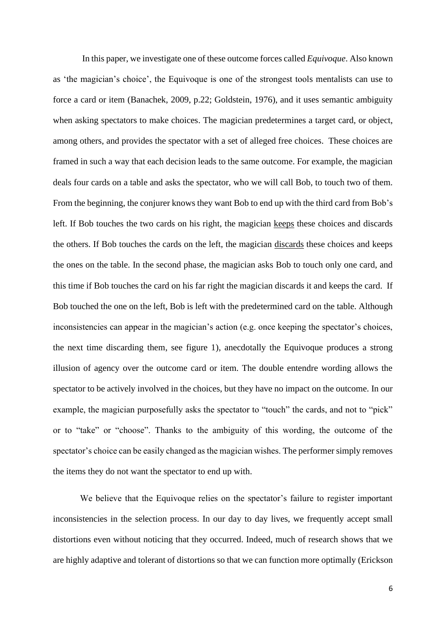In this paper, we investigate one of these outcome forces called *Equivoque*. Also known as 'the magician's choice', the Equivoque is one of the strongest tools mentalists can use to force a card or item (Banachek, 2009, p.22; Goldstein, 1976), and it uses semantic ambiguity when asking spectators to make choices. The magician predetermines a target card, or object, among others, and provides the spectator with a set of alleged free choices. These choices are framed in such a way that each decision leads to the same outcome. For example, the magician deals four cards on a table and asks the spectator, who we will call Bob, to touch two of them. From the beginning, the conjurer knows they want Bob to end up with the third card from Bob's left. If Bob touches the two cards on his right, the magician keeps these choices and discards the others. If Bob touches the cards on the left, the magician discards these choices and keeps the ones on the table. In the second phase, the magician asks Bob to touch only one card, and this time if Bob touches the card on his far right the magician discards it and keeps the card. If Bob touched the one on the left, Bob is left with the predetermined card on the table. Although inconsistencies can appear in the magician's action (e.g. once keeping the spectator's choices, the next time discarding them, see figure 1), anecdotally the Equivoque produces a strong illusion of agency over the outcome card or item. The double entendre wording allows the spectator to be actively involved in the choices, but they have no impact on the outcome. In our example, the magician purposefully asks the spectator to "touch" the cards, and not to "pick" or to "take" or "choose". Thanks to the ambiguity of this wording, the outcome of the spectator's choice can be easily changed as the magician wishes. The performer simply removes the items they do not want the spectator to end up with.

We believe that the Equivoque relies on the spectator's failure to register important inconsistencies in the selection process. In our day to day lives, we frequently accept small distortions even without noticing that they occurred. Indeed, much of research shows that we are highly adaptive and tolerant of distortions so that we can function more optimally (Erickson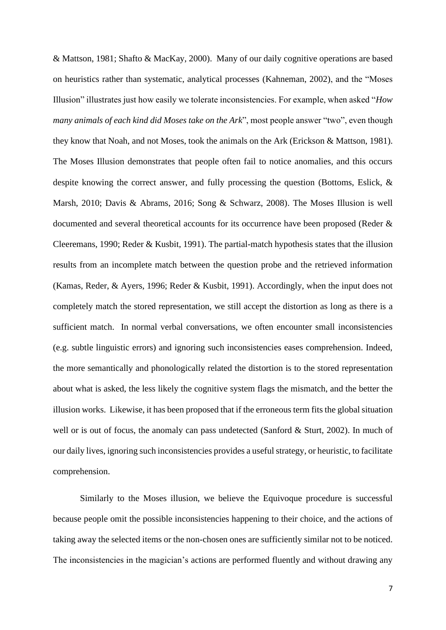& Mattson, 1981; Shafto & MacKay, 2000). Many of our daily cognitive operations are based on heuristics rather than systematic, analytical processes (Kahneman, 2002), and the "Moses Illusion" illustrates just how easily we tolerate inconsistencies. For example, when asked "*How many animals of each kind did Moses take on the Ark*", most people answer "two", even though they know that Noah, and not Moses, took the animals on the Ark (Erickson & Mattson, 1981). The Moses Illusion demonstrates that people often fail to notice anomalies, and this occurs despite knowing the correct answer, and fully processing the question (Bottoms, Eslick, & Marsh, 2010; Davis & Abrams, 2016; Song & Schwarz, 2008). The Moses Illusion is well documented and several theoretical accounts for its occurrence have been proposed (Reder & Cleeremans, 1990; Reder & Kusbit, 1991). The partial-match hypothesis states that the illusion results from an incomplete match between the question probe and the retrieved information (Kamas, Reder, & Ayers, 1996; Reder & Kusbit, 1991). Accordingly, when the input does not completely match the stored representation, we still accept the distortion as long as there is a sufficient match. In normal verbal conversations, we often encounter small inconsistencies (e.g. subtle linguistic errors) and ignoring such inconsistencies eases comprehension. Indeed, the more semantically and phonologically related the distortion is to the stored representation about what is asked, the less likely the cognitive system flags the mismatch, and the better the illusion works. Likewise, it has been proposed that if the erroneous term fits the global situation well or is out of focus, the anomaly can pass undetected (Sanford & Sturt, 2002). In much of our daily lives, ignoring such inconsistencies provides a useful strategy, or heuristic, to facilitate comprehension.

Similarly to the Moses illusion, we believe the Equivoque procedure is successful because people omit the possible inconsistencies happening to their choice, and the actions of taking away the selected items or the non-chosen ones are sufficiently similar not to be noticed. The inconsistencies in the magician's actions are performed fluently and without drawing any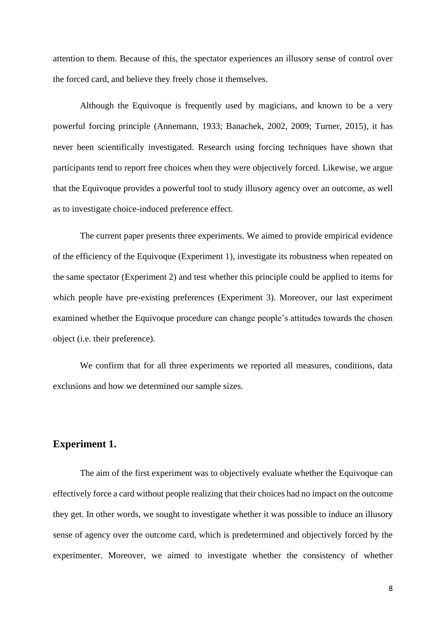attention to them. Because of this, the spectator experiences an illusory sense of control over the forced card, and believe they freely chose it themselves.

Although the Equivoque is frequently used by magicians, and known to be a very powerful forcing principle (Annemann, 1933; Banachek, 2002, 2009; Turner, 2015), it has never been scientifically investigated. Research using forcing techniques have shown that participants tend to report free choices when they were objectively forced. Likewise, we argue that the Equivoque provides a powerful tool to study illusory agency over an outcome, as well as to investigate choice-induced preference effect.

The current paper presents three experiments. We aimed to provide empirical evidence of the efficiency of the Equivoque (Experiment 1), investigate its robustness when repeated on the same spectator (Experiment 2) and test whether this principle could be applied to items for which people have pre-existing preferences (Experiment 3). Moreover, our last experiment examined whether the Equivoque procedure can change people's attitudes towards the chosen object (i.e. their preference).

We confirm that for all three experiments we reported all measures, conditions, data exclusions and how we determined our sample sizes.

#### **Experiment 1.**

The aim of the first experiment was to objectively evaluate whether the Equivoque can effectively force a card without people realizing that their choices had no impact on the outcome they get. In other words, we sought to investigate whether it was possible to induce an illusory sense of agency over the outcome card, which is predetermined and objectively forced by the experimenter. Moreover, we aimed to investigate whether the consistency of whether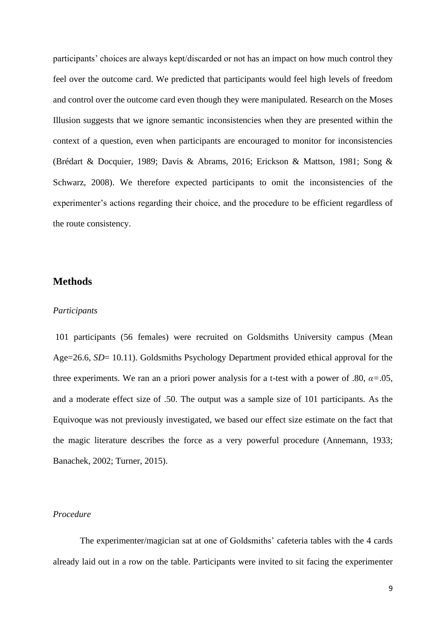participants' choices are always kept/discarded or not has an impact on how much control they feel over the outcome card. We predicted that participants would feel high levels of freedom and control over the outcome card even though they were manipulated. Research on the Moses Illusion suggests that we ignore semantic inconsistencies when they are presented within the context of a question, even when participants are encouraged to monitor for inconsistencies (Brédart & Docquier, 1989; Davis & Abrams, 2016; Erickson & Mattson, 1981; Song & Schwarz, 2008). We therefore expected participants to omit the inconsistencies of the experimenter's actions regarding their choice, and the procedure to be efficient regardless of the route consistency.

#### **Methods**

#### *Participants*

101 participants (56 females) were recruited on Goldsmiths University campus (Mean Age=26.6, *SD*= 10.11). Goldsmiths Psychology Department provided ethical approval for the three experiments. We ran an a priori power analysis for a t-test with a power of .80, *α=*.05, and a moderate effect size of .50. The output was a sample size of 101 participants. As the Equivoque was not previously investigated, we based our effect size estimate on the fact that the magic literature describes the force as a very powerful procedure (Annemann, 1933; Banachek, 2002; Turner, 2015).

#### *Procedure*

The experimenter/magician sat at one of Goldsmiths' cafeteria tables with the 4 cards already laid out in a row on the table. Participants were invited to sit facing the experimenter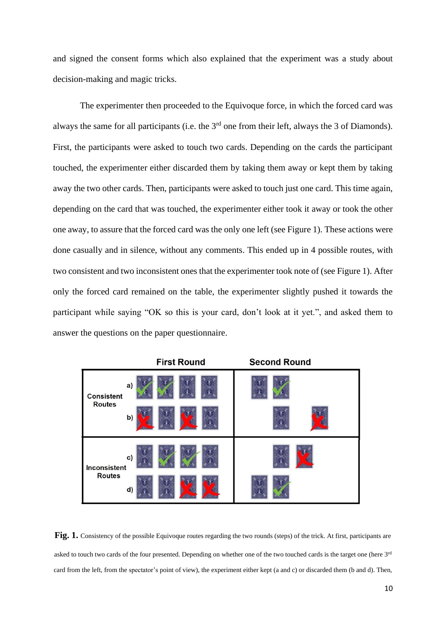and signed the consent forms which also explained that the experiment was a study about decision-making and magic tricks.

The experimenter then proceeded to the Equivoque force, in which the forced card was always the same for all participants (i.e. the 3<sup>rd</sup> one from their left, always the 3 of Diamonds). First, the participants were asked to touch two cards. Depending on the cards the participant touched, the experimenter either discarded them by taking them away or kept them by taking away the two other cards. Then, participants were asked to touch just one card. This time again, depending on the card that was touched, the experimenter either took it away or took the other one away, to assure that the forced card was the only one left (see Figure 1). These actions were done casually and in silence, without any comments. This ended up in 4 possible routes, with two consistent and two inconsistent ones that the experimenter took note of (see Figure 1). After only the forced card remained on the table, the experimenter slightly pushed it towards the participant while saying "OK so this is your card, don't look at it yet.", and asked them to answer the questions on the paper questionnaire.



**Fig. 1.** Consistency of the possible Equivoque routes regarding the two rounds (steps) of the trick. At first, participants are asked to touch two cards of the four presented. Depending on whether one of the two touched cards is the target one (here  $3^{rd}$ card from the left, from the spectator's point of view), the experiment either kept (a and c) or discarded them (b and d). Then,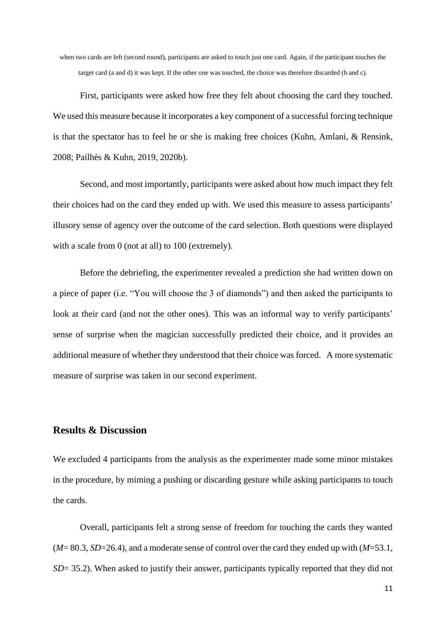when two cards are left (second round), participants are asked to touch just one card. Again, if the participant touches the target card (a and d) it was kept. If the other one was touched, the choice was therefore discarded (b and c).

First, participants were asked how free they felt about choosing the card they touched. We used this measure because it incorporates a key component of a successful forcing technique is that the spectator has to feel he or she is making free choices (Kuhn, Amlani, & Rensink, 2008; Pailhès & Kuhn, 2019, 2020b).

Second, and most importantly, participants were asked about how much impact they felt their choices had on the card they ended up with. We used this measure to assess participants' illusory sense of agency over the outcome of the card selection. Both questions were displayed with a scale from 0 (not at all) to 100 (extremely).

Before the debriefing, the experimenter revealed a prediction she had written down on a piece of paper (i.e. "You will choose the 3 of diamonds") and then asked the participants to look at their card (and not the other ones). This was an informal way to verify participants' sense of surprise when the magician successfully predicted their choice, and it provides an additional measure of whether they understood that their choice was forced. A more systematic measure of surprise was taken in our second experiment.

### **Results & Discussion**

We excluded 4 participants from the analysis as the experimenter made some minor mistakes in the procedure, by miming a pushing or discarding gesture while asking participants to touch the cards.

Overall, participants felt a strong sense of freedom for touching the cards they wanted (*M*= 80.3, *SD*=26.4), and a moderate sense of control over the card they ended up with (*M*=53.1, *SD*= 35.2). When asked to justify their answer, participants typically reported that they did not

11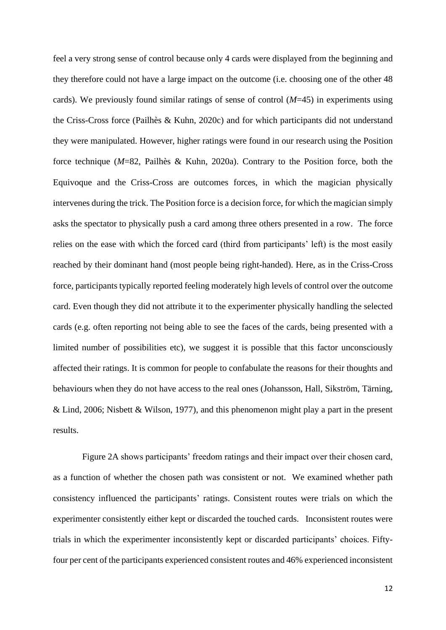feel a very strong sense of control because only 4 cards were displayed from the beginning and they therefore could not have a large impact on the outcome (i.e. choosing one of the other 48 cards). We previously found similar ratings of sense of control (*M*=45) in experiments using the Criss-Cross force (Pailhès & Kuhn, 2020c) and for which participants did not understand they were manipulated. However, higher ratings were found in our research using the Position force technique (*M*=82, Pailhès & Kuhn, 2020a). Contrary to the Position force, both the Equivoque and the Criss-Cross are outcomes forces, in which the magician physically intervenes during the trick. The Position force is a decision force, for which the magician simply asks the spectator to physically push a card among three others presented in a row. The force relies on the ease with which the forced card (third from participants' left) is the most easily reached by their dominant hand (most people being right-handed). Here, as in the Criss-Cross force, participants typically reported feeling moderately high levels of control over the outcome card. Even though they did not attribute it to the experimenter physically handling the selected cards (e.g. often reporting not being able to see the faces of the cards, being presented with a limited number of possibilities etc), we suggest it is possible that this factor unconsciously affected their ratings. It is common for people to confabulate the reasons for their thoughts and behaviours when they do not have access to the real ones (Johansson, Hall, Sikström, Tärning, & Lind, 2006; Nisbett & Wilson, 1977), and this phenomenon might play a part in the present results.

Figure 2A shows participants' freedom ratings and their impact over their chosen card, as a function of whether the chosen path was consistent or not. We examined whether path consistency influenced the participants' ratings. Consistent routes were trials on which the experimenter consistently either kept or discarded the touched cards. Inconsistent routes were trials in which the experimenter inconsistently kept or discarded participants' choices. Fiftyfour per cent of the participants experienced consistent routes and 46% experienced inconsistent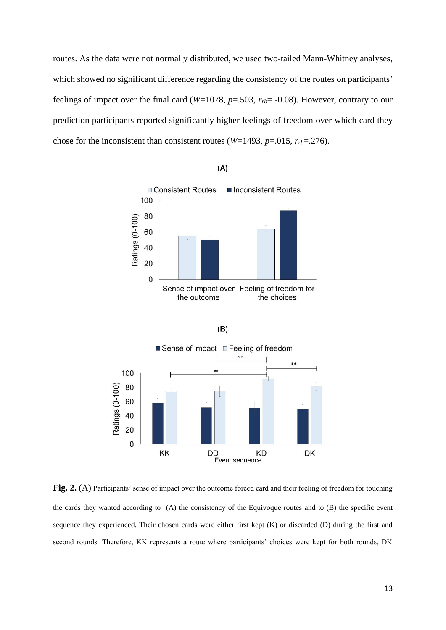routes. As the data were not normally distributed, we used two-tailed Mann-Whitney analyses, which showed no significant difference regarding the consistency of the routes on participants' feelings of impact over the final card ( $W=1078$ ,  $p=.503$ ,  $r_{rb}=.008$ ). However, contrary to our prediction participants reported significantly higher feelings of freedom over which card they chose for the inconsistent than consistent routes ( $W=1493$ ,  $p=.015$ ,  $r_{rb}=.276$ ).



 $(A)$ 

**Fig. 2.** (A) Participants' sense of impact over the outcome forced card and their feeling of freedom for touching the cards they wanted according to (A) the consistency of the Equivoque routes and to (B) the specific event sequence they experienced. Their chosen cards were either first kept (K) or discarded (D) during the first and second rounds. Therefore, KK represents a route where participants' choices were kept for both rounds, DK

**DD** 

**KD** 

Event sequence

DK

20  $\overline{0}$ 

KK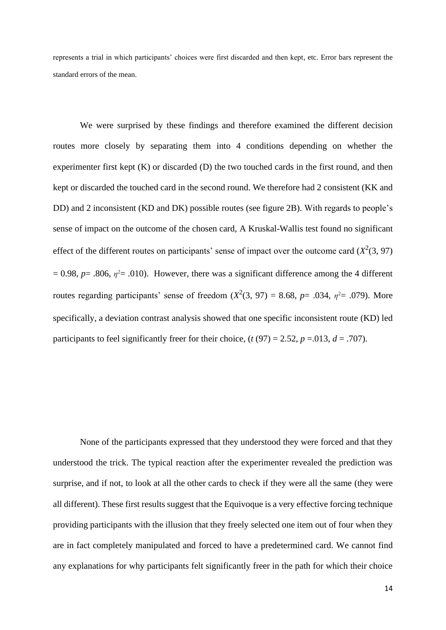represents a trial in which participants' choices were first discarded and then kept, etc. Error bars represent the standard errors of the mean.

We were surprised by these findings and therefore examined the different decision routes more closely by separating them into 4 conditions depending on whether the experimenter first kept (K) or discarded (D) the two touched cards in the first round, and then kept or discarded the touched card in the second round. We therefore had 2 consistent (KK and DD) and 2 inconsistent (KD and DK) possible routes (see figure 2B). With regards to people's sense of impact on the outcome of the chosen card, A Kruskal-Wallis test found no significant effect of the different routes on participants' sense of impact over the outcome card  $(X^2(3, 97))$  $= 0.98$ ,  $p = .806$ ,  $\eta^2 = .010$ ). However, there was a significant difference among the 4 different routes regarding participants' sense of freedom  $(X^2(3, 97) = 8.68, p = .034, \eta^2 = .079)$ . More specifically, a deviation contrast analysis showed that one specific inconsistent route (KD) led participants to feel significantly freer for their choice,  $(t (97) = 2.52, p = .013, d = .707)$ .

None of the participants expressed that they understood they were forced and that they understood the trick. The typical reaction after the experimenter revealed the prediction was surprise, and if not, to look at all the other cards to check if they were all the same (they were all different). These first results suggest that the Equivoque is a very effective forcing technique providing participants with the illusion that they freely selected one item out of four when they are in fact completely manipulated and forced to have a predetermined card. We cannot find any explanations for why participants felt significantly freer in the path for which their choice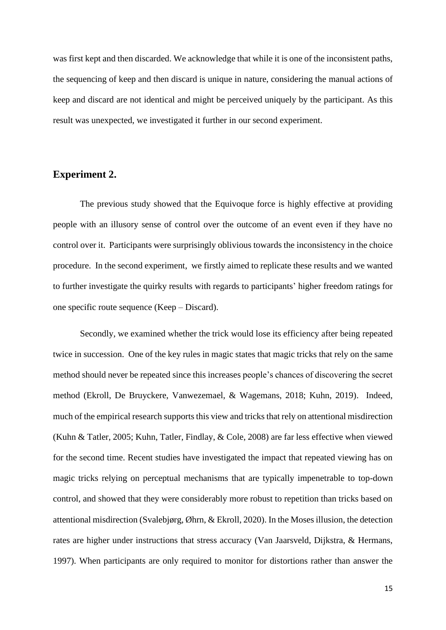was first kept and then discarded. We acknowledge that while it is one of the inconsistent paths, the sequencing of keep and then discard is unique in nature, considering the manual actions of keep and discard are not identical and might be perceived uniquely by the participant. As this result was unexpected, we investigated it further in our second experiment.

#### **Experiment 2.**

The previous study showed that the Equivoque force is highly effective at providing people with an illusory sense of control over the outcome of an event even if they have no control over it. Participants were surprisingly oblivious towards the inconsistency in the choice procedure. In the second experiment, we firstly aimed to replicate these results and we wanted to further investigate the quirky results with regards to participants' higher freedom ratings for one specific route sequence (Keep – Discard).

Secondly, we examined whether the trick would lose its efficiency after being repeated twice in succession. One of the key rules in magic states that magic tricks that rely on the same method should never be repeated since this increases people's chances of discovering the secret method (Ekroll, De Bruyckere, Vanwezemael, & Wagemans, 2018; Kuhn, 2019). Indeed, much of the empirical research supports this view and tricks that rely on attentional misdirection (Kuhn & Tatler, 2005; Kuhn, Tatler, Findlay, & Cole, 2008) are far less effective when viewed for the second time. Recent studies have investigated the impact that repeated viewing has on magic tricks relying on perceptual mechanisms that are typically impenetrable to top-down control, and showed that they were considerably more robust to repetition than tricks based on attentional misdirection (Svalebjørg, Øhrn, & Ekroll, 2020). In the Moses illusion, the detection rates are higher under instructions that stress accuracy (Van Jaarsveld, Dijkstra, & Hermans, 1997). When participants are only required to monitor for distortions rather than answer the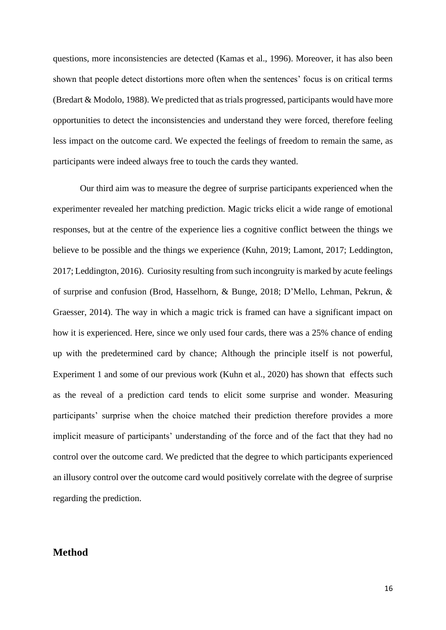questions, more inconsistencies are detected (Kamas et al., 1996). Moreover, it has also been shown that people detect distortions more often when the sentences' focus is on critical terms (Bredart & Modolo, 1988). We predicted that as trials progressed, participants would have more opportunities to detect the inconsistencies and understand they were forced, therefore feeling less impact on the outcome card. We expected the feelings of freedom to remain the same, as participants were indeed always free to touch the cards they wanted.

Our third aim was to measure the degree of surprise participants experienced when the experimenter revealed her matching prediction. Magic tricks elicit a wide range of emotional responses, but at the centre of the experience lies a cognitive conflict between the things we believe to be possible and the things we experience (Kuhn, 2019; Lamont, 2017; Leddington, 2017; Leddington, 2016). Curiosity resulting from such incongruity is marked by acute feelings of surprise and confusion (Brod, Hasselhorn, & Bunge, 2018; D'Mello, Lehman, Pekrun, & Graesser, 2014). The way in which a magic trick is framed can have a significant impact on how it is experienced. Here, since we only used four cards, there was a 25% chance of ending up with the predetermined card by chance; Although the principle itself is not powerful, Experiment 1 and some of our previous work (Kuhn et al., 2020) has shown that effects such as the reveal of a prediction card tends to elicit some surprise and wonder. Measuring participants' surprise when the choice matched their prediction therefore provides a more implicit measure of participants' understanding of the force and of the fact that they had no control over the outcome card. We predicted that the degree to which participants experienced an illusory control over the outcome card would positively correlate with the degree of surprise regarding the prediction.

#### **Method**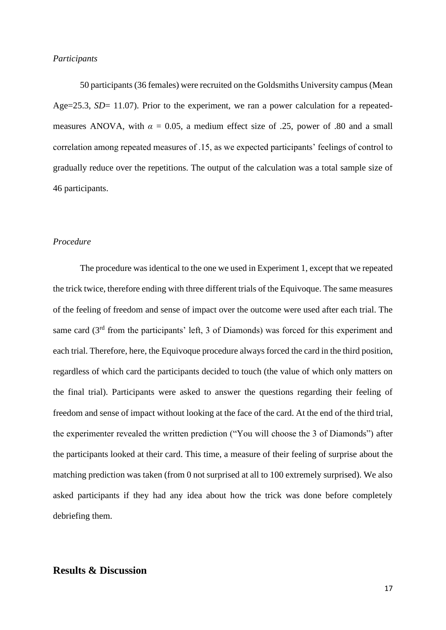#### *Participants*

50 participants (36 females) were recruited on the Goldsmiths University campus (Mean Age=25.3, *SD*= 11.07). Prior to the experiment, we ran a power calculation for a repeatedmeasures ANOVA, with  $\alpha = 0.05$ , a medium effect size of .25, power of .80 and a small correlation among repeated measures of .15, as we expected participants' feelings of control to gradually reduce over the repetitions. The output of the calculation was a total sample size of 46 participants.

#### *Procedure*

The procedure was identical to the one we used in Experiment 1, except that we repeated the trick twice, therefore ending with three different trials of the Equivoque. The same measures of the feeling of freedom and sense of impact over the outcome were used after each trial. The same card (3<sup>rd</sup> from the participants' left, 3 of Diamonds) was forced for this experiment and each trial. Therefore, here, the Equivoque procedure always forced the card in the third position, regardless of which card the participants decided to touch (the value of which only matters on the final trial). Participants were asked to answer the questions regarding their feeling of freedom and sense of impact without looking at the face of the card. At the end of the third trial, the experimenter revealed the written prediction ("You will choose the 3 of Diamonds") after the participants looked at their card. This time, a measure of their feeling of surprise about the matching prediction was taken (from 0 not surprised at all to 100 extremely surprised). We also asked participants if they had any idea about how the trick was done before completely debriefing them.

# **Results & Discussion**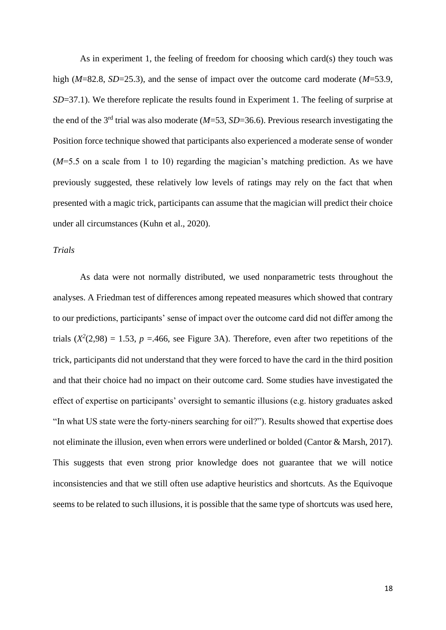As in experiment 1, the feeling of freedom for choosing which card(s) they touch was high (*M*=82.8, *SD*=25.3), and the sense of impact over the outcome card moderate (*M*=53.9, *SD*=37.1). We therefore replicate the results found in Experiment 1. The feeling of surprise at the end of the  $3<sup>rd</sup>$  trial was also moderate ( $M=53$ ,  $SD=36.6$ ). Previous research investigating the Position force technique showed that participants also experienced a moderate sense of wonder (*M*=5.5 on a scale from 1 to 10) regarding the magician's matching prediction. As we have previously suggested, these relatively low levels of ratings may rely on the fact that when presented with a magic trick, participants can assume that the magician will predict their choice under all circumstances (Kuhn et al., 2020).

#### *Trials*

As data were not normally distributed, we used nonparametric tests throughout the analyses. A Friedman test of differences among repeated measures which showed that contrary to our predictions, participants' sense of impact over the outcome card did not differ among the trials  $(X^2(2,98) = 1.53$ ,  $p = 466$ , see Figure 3A). Therefore, even after two repetitions of the trick, participants did not understand that they were forced to have the card in the third position and that their choice had no impact on their outcome card. Some studies have investigated the effect of expertise on participants' oversight to semantic illusions (e.g. history graduates asked "In what US state were the forty-niners searching for oil?"). Results showed that expertise does not eliminate the illusion, even when errors were underlined or bolded (Cantor & Marsh, 2017). This suggests that even strong prior knowledge does not guarantee that we will notice inconsistencies and that we still often use adaptive heuristics and shortcuts. As the Equivoque seems to be related to such illusions, it is possible that the same type of shortcuts was used here,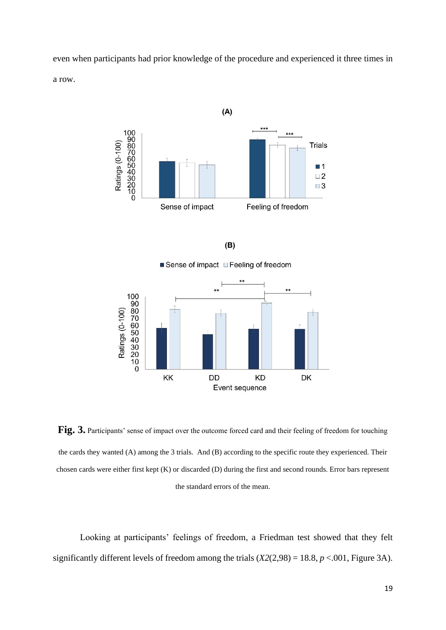even when participants had prior knowledge of the procedure and experienced it three times in a row.





Sense of impact E Feeling of freedom



**Fig. 3.** Participants' sense of impact over the outcome forced card and their feeling of freedom for touching the cards they wanted (A) among the 3 trials. And (B) according to the specific route they experienced. Their chosen cards were either first kept (K) or discarded (D) during the first and second rounds. Error bars represent the standard errors of the mean.

Looking at participants' feelings of freedom, a Friedman test showed that they felt significantly different levels of freedom among the trials  $(X2(2,98) = 18.8, p < .001$ , Figure 3A).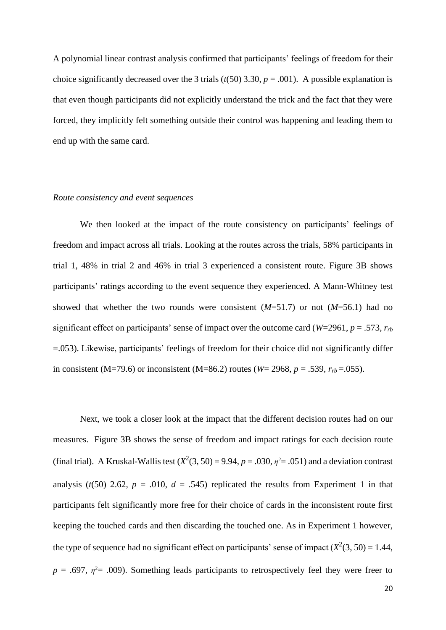A polynomial linear contrast analysis confirmed that participants' feelings of freedom for their choice significantly decreased over the 3 trials ( $t(50)$ ) 3.30,  $p = .001$ ). A possible explanation is that even though participants did not explicitly understand the trick and the fact that they were forced, they implicitly felt something outside their control was happening and leading them to end up with the same card.

#### *Route consistency and event sequences*

We then looked at the impact of the route consistency on participants' feelings of freedom and impact across all trials. Looking at the routes across the trials, 58% participants in trial 1, 48% in trial 2 and 46% in trial 3 experienced a consistent route. Figure 3B shows participants' ratings according to the event sequence they experienced. A Mann-Whitney test showed that whether the two rounds were consistent (*M*=51.7) or not (*M*=56.1) had no significant effect on participants' sense of impact over the outcome card (*W*=2961, *p* = .573, *rrb* =.053). Likewise, participants' feelings of freedom for their choice did not significantly differ in consistent (M=79.6) or inconsistent (M=86.2) routes ( $W=2968$ ,  $p=.539$ ,  $r_{rb}=.055$ ).

Next, we took a closer look at the impact that the different decision routes had on our measures. Figure 3B shows the sense of freedom and impact ratings for each decision route (final trial). A Kruskal-Wallis test  $(X^2(3, 50) = 9.94$ ,  $p = .030$ ,  $\eta^2 = .051$ ) and a deviation contrast analysis ( $t(50)$  2.62,  $p = .010$ ,  $d = .545$ ) replicated the results from Experiment 1 in that participants felt significantly more free for their choice of cards in the inconsistent route first keeping the touched cards and then discarding the touched one. As in Experiment 1 however, the type of sequence had no significant effect on participants' sense of impact  $(X^2(3, 50) = 1.44$ ,  $p = .697$ ,  $\eta^2 = .009$ ). Something leads participants to retrospectively feel they were freer to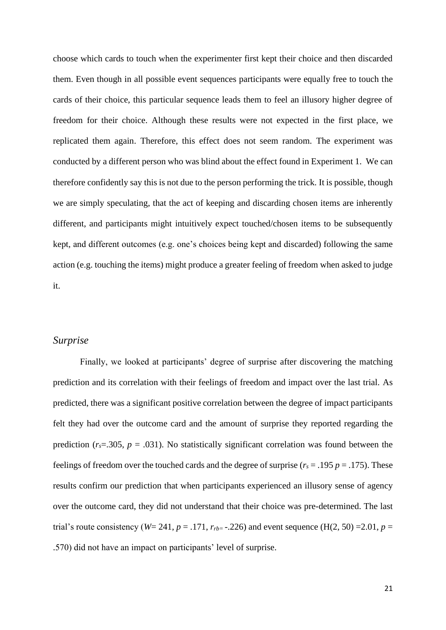choose which cards to touch when the experimenter first kept their choice and then discarded them. Even though in all possible event sequences participants were equally free to touch the cards of their choice, this particular sequence leads them to feel an illusory higher degree of freedom for their choice. Although these results were not expected in the first place, we replicated them again. Therefore, this effect does not seem random. The experiment was conducted by a different person who was blind about the effect found in Experiment 1. We can therefore confidently say this is not due to the person performing the trick. It is possible, though we are simply speculating, that the act of keeping and discarding chosen items are inherently different, and participants might intuitively expect touched/chosen items to be subsequently kept, and different outcomes (e.g. one's choices being kept and discarded) following the same action (e.g. touching the items) might produce a greater feeling of freedom when asked to judge it.

#### *Surprise*

Finally, we looked at participants' degree of surprise after discovering the matching prediction and its correlation with their feelings of freedom and impact over the last trial. As predicted, there was a significant positive correlation between the degree of impact participants felt they had over the outcome card and the amount of surprise they reported regarding the prediction  $(r_s=305, p=.031)$ . No statistically significant correlation was found between the feelings of freedom over the touched cards and the degree of surprise ( $r_s = .195 p = .175$ ). These results confirm our prediction that when participants experienced an illusory sense of agency over the outcome card, they did not understand that their choice was pre-determined. The last trial's route consistency (*W*= 241, *p* = .171,  $r_{rb}$  = -.226) and event sequence (H(2, 50) =2.01, *p* = .570) did not have an impact on participants' level of surprise.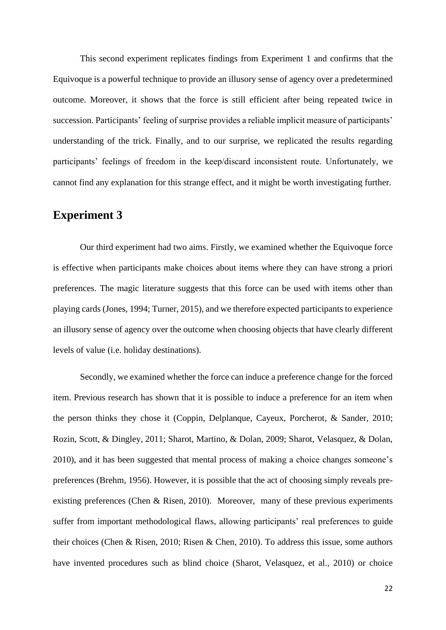This second experiment replicates findings from Experiment 1 and confirms that the Equivoque is a powerful technique to provide an illusory sense of agency over a predetermined outcome. Moreover, it shows that the force is still efficient after being repeated twice in succession. Participants' feeling of surprise provides a reliable implicit measure of participants' understanding of the trick. Finally, and to our surprise, we replicated the results regarding participants' feelings of freedom in the keep/discard inconsistent route. Unfortunately, we cannot find any explanation for this strange effect, and it might be worth investigating further.

# **Experiment 3**

Our third experiment had two aims. Firstly, we examined whether the Equivoque force is effective when participants make choices about items where they can have strong a priori preferences. The magic literature suggests that this force can be used with items other than playing cards (Jones, 1994; Turner, 2015), and we therefore expected participants to experience an illusory sense of agency over the outcome when choosing objects that have clearly different levels of value (i.e. holiday destinations).

Secondly, we examined whether the force can induce a preference change for the forced item. Previous research has shown that it is possible to induce a preference for an item when the person thinks they chose it (Coppin, Delplanque, Cayeux, Porcherot, & Sander, 2010; Rozin, Scott, & Dingley, 2011; Sharot, Martino, & Dolan, 2009; Sharot, Velasquez, & Dolan, 2010), and it has been suggested that mental process of making a choice changes someone's preferences (Brehm, 1956). However, it is possible that the act of choosing simply reveals preexisting preferences (Chen & Risen, 2010). Moreover, many of these previous experiments suffer from important methodological flaws, allowing participants' real preferences to guide their choices (Chen & Risen, 2010; Risen & Chen, 2010). To address this issue, some authors have invented procedures such as blind choice (Sharot, Velasquez, et al., 2010) or choice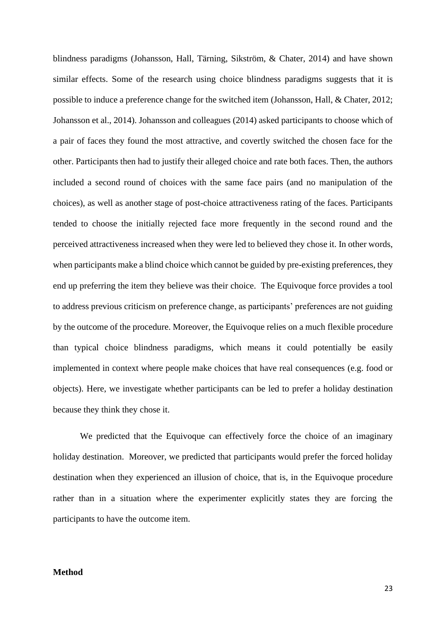blindness paradigms (Johansson, Hall, Tärning, Sikström, & Chater, 2014) and have shown similar effects. Some of the research using choice blindness paradigms suggests that it is possible to induce a preference change for the switched item (Johansson, Hall, & Chater, 2012; Johansson et al., 2014). Johansson and colleagues (2014) asked participants to choose which of a pair of faces they found the most attractive, and covertly switched the chosen face for the other. Participants then had to justify their alleged choice and rate both faces. Then, the authors included a second round of choices with the same face pairs (and no manipulation of the choices), as well as another stage of post-choice attractiveness rating of the faces. Participants tended to choose the initially rejected face more frequently in the second round and the perceived attractiveness increased when they were led to believed they chose it. In other words, when participants make a blind choice which cannot be guided by pre-existing preferences, they end up preferring the item they believe was their choice. The Equivoque force provides a tool to address previous criticism on preference change, as participants' preferences are not guiding by the outcome of the procedure. Moreover, the Equivoque relies on a much flexible procedure than typical choice blindness paradigms, which means it could potentially be easily implemented in context where people make choices that have real consequences (e.g. food or objects). Here, we investigate whether participants can be led to prefer a holiday destination because they think they chose it.

We predicted that the Equivoque can effectively force the choice of an imaginary holiday destination. Moreover, we predicted that participants would prefer the forced holiday destination when they experienced an illusion of choice, that is, in the Equivoque procedure rather than in a situation where the experimenter explicitly states they are forcing the participants to have the outcome item.

#### **Method**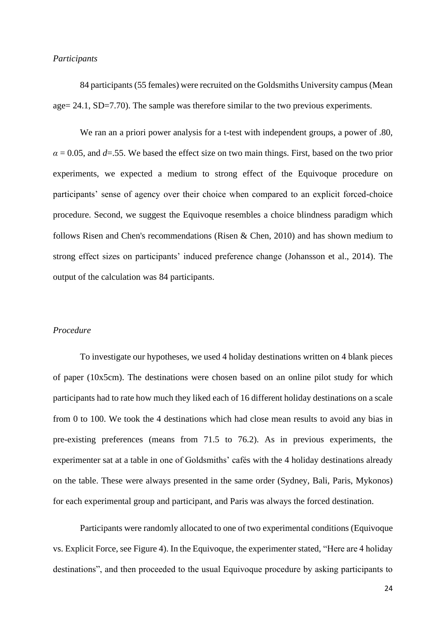#### *Participants*

84 participants (55 females) were recruited on the Goldsmiths University campus (Mean age= 24.1, SD=7.70). The sample was therefore similar to the two previous experiments.

We ran an a priori power analysis for a t-test with independent groups, a power of .80,  $\alpha$  = 0.05, and *d*=.55. We based the effect size on two main things. First, based on the two prior experiments, we expected a medium to strong effect of the Equivoque procedure on participants' sense of agency over their choice when compared to an explicit forced-choice procedure. Second, we suggest the Equivoque resembles a choice blindness paradigm which follows Risen and Chen's recommendations (Risen & Chen, 2010) and has shown medium to strong effect sizes on participants' induced preference change (Johansson et al., 2014). The output of the calculation was 84 participants.

#### *Procedure*

To investigate our hypotheses, we used 4 holiday destinations written on 4 blank pieces of paper (10x5cm). The destinations were chosen based on an online pilot study for which participants had to rate how much they liked each of 16 different holiday destinations on a scale from 0 to 100. We took the 4 destinations which had close mean results to avoid any bias in pre-existing preferences (means from 71.5 to 76.2). As in previous experiments, the experimenter sat at a table in one of Goldsmiths' cafés with the 4 holiday destinations already on the table. These were always presented in the same order (Sydney, Bali, Paris, Mykonos) for each experimental group and participant, and Paris was always the forced destination.

Participants were randomly allocated to one of two experimental conditions (Equivoque vs. Explicit Force, see Figure 4). In the Equivoque, the experimenter stated, "Here are 4 holiday destinations", and then proceeded to the usual Equivoque procedure by asking participants to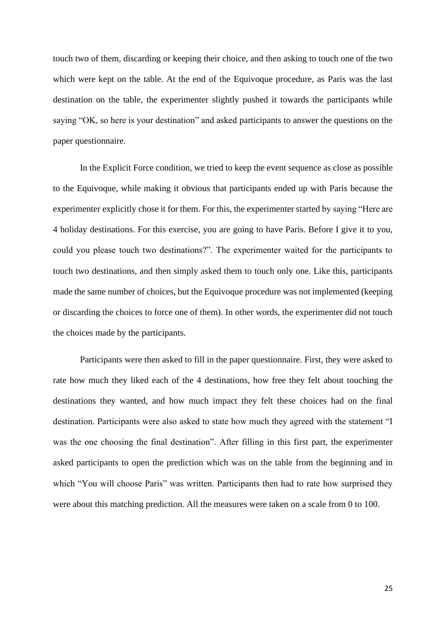touch two of them, discarding or keeping their choice, and then asking to touch one of the two which were kept on the table. At the end of the Equivoque procedure, as Paris was the last destination on the table, the experimenter slightly pushed it towards the participants while saying "OK, so here is your destination" and asked participants to answer the questions on the paper questionnaire.

In the Explicit Force condition, we tried to keep the event sequence as close as possible to the Equivoque, while making it obvious that participants ended up with Paris because the experimenter explicitly chose it for them. For this, the experimenter started by saying "Here are 4 holiday destinations. For this exercise, you are going to have Paris. Before I give it to you, could you please touch two destinations?". The experimenter waited for the participants to touch two destinations, and then simply asked them to touch only one. Like this, participants made the same number of choices, but the Equivoque procedure was not implemented (keeping or discarding the choices to force one of them). In other words, the experimenter did not touch the choices made by the participants.

Participants were then asked to fill in the paper questionnaire. First, they were asked to rate how much they liked each of the 4 destinations, how free they felt about touching the destinations they wanted, and how much impact they felt these choices had on the final destination. Participants were also asked to state how much they agreed with the statement "I was the one choosing the final destination". After filling in this first part, the experimenter asked participants to open the prediction which was on the table from the beginning and in which "You will choose Paris" was written. Participants then had to rate how surprised they were about this matching prediction. All the measures were taken on a scale from 0 to 100.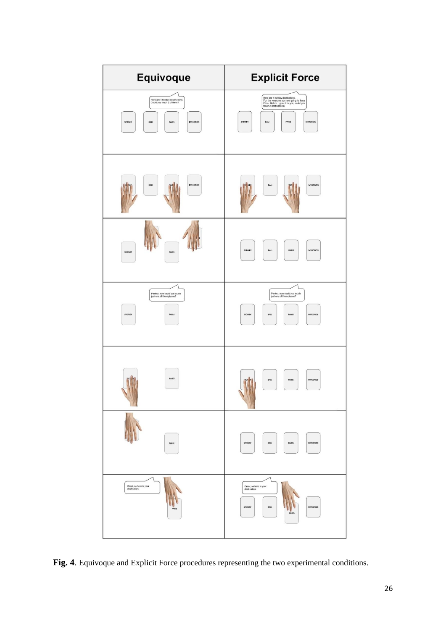

**Fig. 4**. Equivoque and Explicit Force procedures representing the two experimental conditions.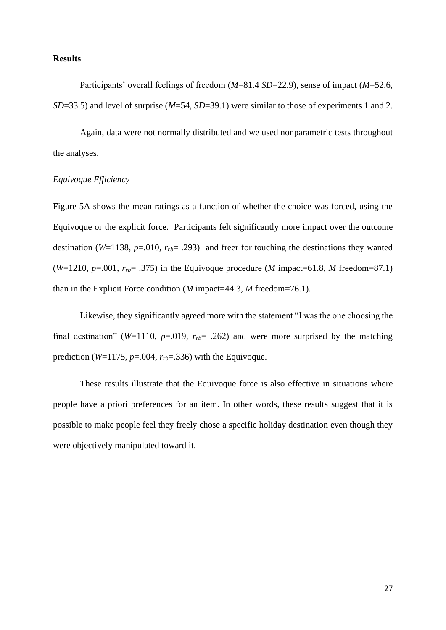#### **Results**

Participants' overall feelings of freedom (*M*=81.4 *SD*=22.9), sense of impact (*M*=52.6, *SD*=33.5) and level of surprise (*M*=54, *SD*=39.1) were similar to those of experiments 1 and 2.

Again, data were not normally distributed and we used nonparametric tests throughout the analyses.

#### *Equivoque Efficiency*

Figure 5A shows the mean ratings as a function of whether the choice was forced, using the Equivoque or the explicit force. Participants felt significantly more impact over the outcome destination (*W*=1138, *p*=.010,  $r_{rb}$ = .293) and freer for touching the destinations they wanted (*W*=1210, *p*=.001,  $r_{rb}$ = .375) in the Equivoque procedure (*M* impact=61.8, *M* freedom=87.1) than in the Explicit Force condition (*M* impact=44.3, *M* freedom=76.1).

Likewise, they significantly agreed more with the statement "I was the one choosing the final destination" ( $W=1110$ ,  $p=.019$ ,  $r_{rb}=.262$ ) and were more surprised by the matching prediction ( $W=1175$ ,  $p=.004$ ,  $r<sub>rb</sub>=.336$ ) with the Equivoque.

These results illustrate that the Equivoque force is also effective in situations where people have a priori preferences for an item. In other words, these results suggest that it is possible to make people feel they freely chose a specific holiday destination even though they were objectively manipulated toward it.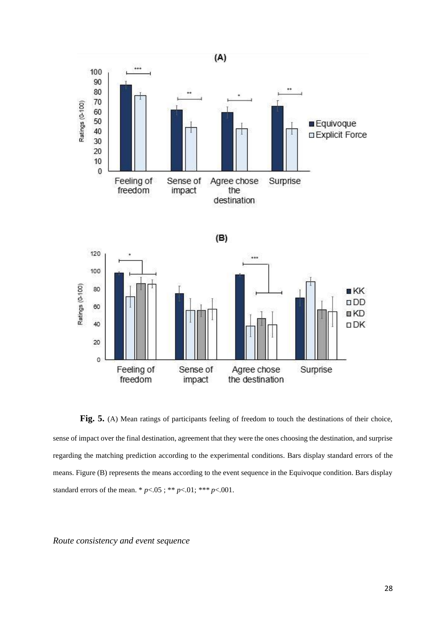

Fig. 5. (A) Mean ratings of participants feeling of freedom to touch the destinations of their choice, sense of impact over the final destination, agreement that they were the ones choosing the destination, and surprise regarding the matching prediction according to the experimental conditions. Bars display standard errors of the means. Figure (B) represents the means according to the event sequence in the Equivoque condition. Bars display standard errors of the mean. \*  $p < .05$ ; \*\*  $p < .01$ ; \*\*\*  $p < .001$ .

*Route consistency and event sequence*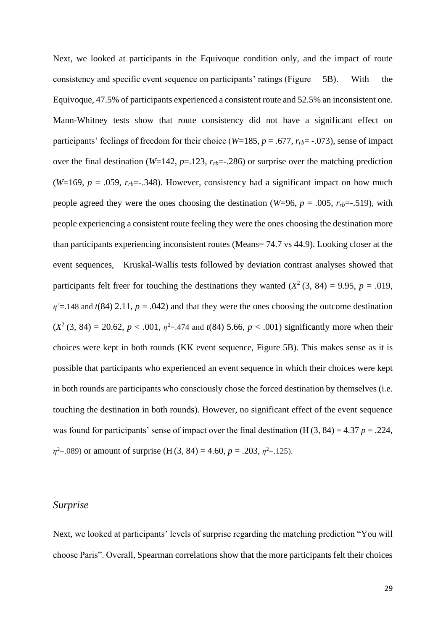Next, we looked at participants in the Equivoque condition only, and the impact of route consistency and specific event sequence on participants' ratings (Figure 5B). With the Equivoque, 47.5% of participants experienced a consistent route and 52.5% an inconsistent one. Mann-Whitney tests show that route consistency did not have a significant effect on participants' feelings of freedom for their choice (*W*=185, *p* = .677,  $r_{rb}$ = -.073), sense of impact over the final destination ( $W=142$ ,  $p=.123$ ,  $r<sub>rb</sub>=-.286$ ) or surprise over the matching prediction (*W*=169,  $p = .059$ ,  $r_{rb} = .348$ ). However, consistency had a significant impact on how much people agreed they were the ones choosing the destination ( $W=96$ ,  $p = .005$ ,  $r_{rb} = .519$ ), with people experiencing a consistent route feeling they were the ones choosing the destination more than participants experiencing inconsistent routes (Means= 74.7 vs 44.9). Looking closer at the event sequences, Kruskal-Wallis tests followed by deviation contrast analyses showed that participants felt freer for touching the destinations they wanted  $(X^2 (3, 84) = 9.95, p = .019,$  $\eta^2$ =.148 and *t*(84) 2.11, *p* = .042) and that they were the ones choosing the outcome destination  $(X^2 (3, 84) = 20.62, p < .001, \eta^2 = .474$  and  $t(84)$  5.66,  $p < .001$ ) significantly more when their choices were kept in both rounds (KK event sequence, Figure 5B). This makes sense as it is possible that participants who experienced an event sequence in which their choices were kept in both rounds are participants who consciously chose the forced destination by themselves (i.e. touching the destination in both rounds). However, no significant effect of the event sequence was found for participants' sense of impact over the final destination  $(H(3, 84) = 4.37 p = .224$ ,  $\eta^2 = .089$ ) or amount of surprise (H(3, 84) = 4.60, *p* = .203,  $\eta^2 = .125$ ).

#### *Surprise*

Next, we looked at participants' levels of surprise regarding the matching prediction "You will choose Paris". Overall, Spearman correlations show that the more participants felt their choices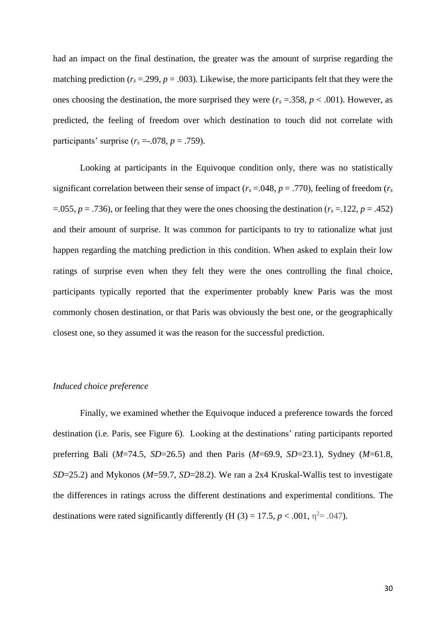had an impact on the final destination, the greater was the amount of surprise regarding the matching prediction  $(r_s = .299, p = .003)$ . Likewise, the more participants felt that they were the ones choosing the destination, the more surprised they were  $(r_s = .358, p < .001)$ . However, as predicted, the feeling of freedom over which destination to touch did not correlate with participants' surprise  $(r_s = .078, p = .759)$ .

Looking at participants in the Equivoque condition only, there was no statistically significant correlation between their sense of impact ( $r_s = .048$ ,  $p = .770$ ), feeling of freedom ( $r_s$ =.055,  $p = .736$ ), or feeling that they were the ones choosing the destination ( $r_s = .122$ ,  $p = .452$ ) and their amount of surprise. It was common for participants to try to rationalize what just happen regarding the matching prediction in this condition. When asked to explain their low ratings of surprise even when they felt they were the ones controlling the final choice, participants typically reported that the experimenter probably knew Paris was the most commonly chosen destination, or that Paris was obviously the best one, or the geographically closest one, so they assumed it was the reason for the successful prediction.

#### *Induced choice preference*

Finally, we examined whether the Equivoque induced a preference towards the forced destination (i.e. Paris, see Figure 6). Looking at the destinations' rating participants reported preferring Bali (*M*=74.5, *SD*=26.5) and then Paris (*M*=69.9, *SD*=23.1), Sydney (*M*=61.8, *SD*=25.2) and Mykonos (*M*=59.7, *SD*=28.2). We ran a 2x4 Kruskal-Wallis test to investigate the differences in ratings across the different destinations and experimental conditions. The destinations were rated significantly differently (H  $(3) = 17.5$ ,  $p < .001$ ,  $\eta^2 = .047$ ).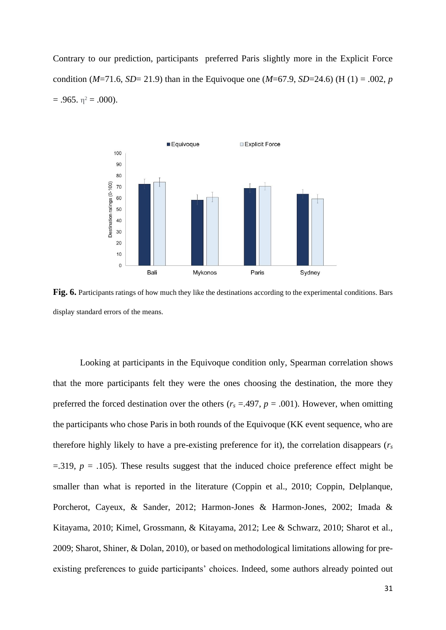Contrary to our prediction, participants preferred Paris slightly more in the Explicit Force condition ( $M=71.6$ ,  $SD=21.9$ ) than in the Equivoque one ( $M=67.9$ ,  $SD=24.6$ ) (H (1) = .002, *p*  $= .965. \eta^2 = .000$ ).



**Fig. 6.** Participants ratings of how much they like the destinations according to the experimental conditions. Bars display standard errors of the means.

Looking at participants in the Equivoque condition only, Spearman correlation shows that the more participants felt they were the ones choosing the destination, the more they preferred the forced destination over the others ( $r_s = .497$ ,  $p = .001$ ). However, when omitting the participants who chose Paris in both rounds of the Equivoque (KK event sequence, who are therefore highly likely to have a pre-existing preference for it), the correlation disappears (*r<sup>s</sup>*  $=$ .319,  $p = .105$ ). These results suggest that the induced choice preference effect might be smaller than what is reported in the literature (Coppin et al., 2010; Coppin, Delplanque, Porcherot, Cayeux, & Sander, 2012; Harmon-Jones & Harmon-Jones, 2002; Imada & Kitayama, 2010; Kimel, Grossmann, & Kitayama, 2012; Lee & Schwarz, 2010; Sharot et al., 2009; Sharot, Shiner, & Dolan, 2010), or based on methodological limitations allowing for preexisting preferences to guide participants' choices. Indeed, some authors already pointed out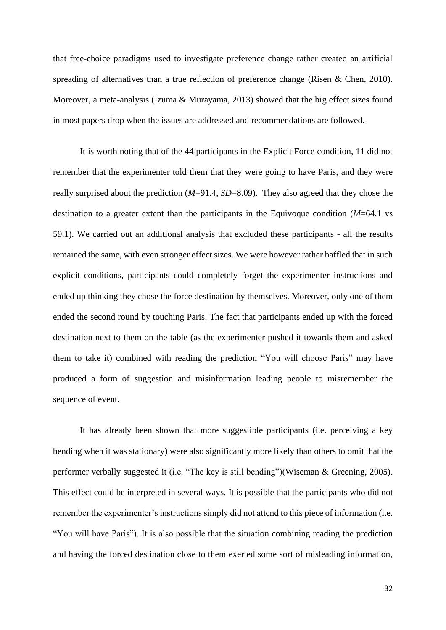that free-choice paradigms used to investigate preference change rather created an artificial spreading of alternatives than a true reflection of preference change (Risen & Chen, 2010). Moreover, a meta-analysis (Izuma & Murayama, 2013) showed that the big effect sizes found in most papers drop when the issues are addressed and recommendations are followed.

It is worth noting that of the 44 participants in the Explicit Force condition, 11 did not remember that the experimenter told them that they were going to have Paris, and they were really surprised about the prediction (*M*=91.4, *SD*=8.09). They also agreed that they chose the destination to a greater extent than the participants in the Equivoque condition (*M*=64.1 vs 59.1). We carried out an additional analysis that excluded these participants - all the results remained the same, with even stronger effect sizes. We were however rather baffled that in such explicit conditions, participants could completely forget the experimenter instructions and ended up thinking they chose the force destination by themselves. Moreover, only one of them ended the second round by touching Paris. The fact that participants ended up with the forced destination next to them on the table (as the experimenter pushed it towards them and asked them to take it) combined with reading the prediction "You will choose Paris" may have produced a form of suggestion and misinformation leading people to misremember the sequence of event.

It has already been shown that more suggestible participants (i.e. perceiving a key bending when it was stationary) were also significantly more likely than others to omit that the performer verbally suggested it (i.e. "The key is still bending")(Wiseman & Greening, 2005). This effect could be interpreted in several ways. It is possible that the participants who did not remember the experimenter's instructions simply did not attend to this piece of information (i.e. "You will have Paris"). It is also possible that the situation combining reading the prediction and having the forced destination close to them exerted some sort of misleading information,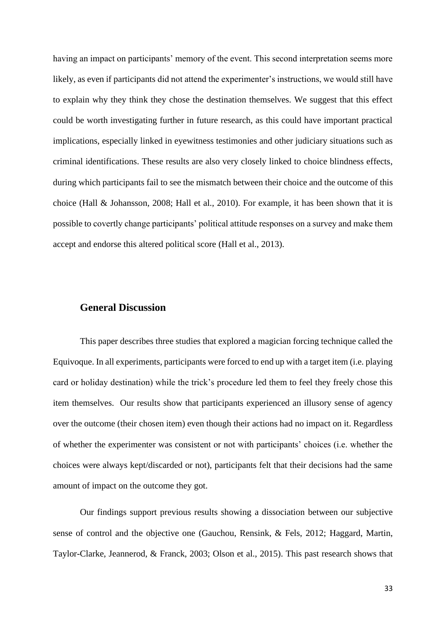having an impact on participants' memory of the event. This second interpretation seems more likely, as even if participants did not attend the experimenter's instructions, we would still have to explain why they think they chose the destination themselves. We suggest that this effect could be worth investigating further in future research, as this could have important practical implications, especially linked in eyewitness testimonies and other judiciary situations such as criminal identifications. These results are also very closely linked to choice blindness effects, during which participants fail to see the mismatch between their choice and the outcome of this choice (Hall & Johansson, 2008; Hall et al., 2010). For example, it has been shown that it is possible to covertly change participants' political attitude responses on a survey and make them accept and endorse this altered political score (Hall et al., 2013).

# **General Discussion**

This paper describes three studies that explored a magician forcing technique called the Equivoque. In all experiments, participants were forced to end up with a target item (i.e. playing card or holiday destination) while the trick's procedure led them to feel they freely chose this item themselves. Our results show that participants experienced an illusory sense of agency over the outcome (their chosen item) even though their actions had no impact on it. Regardless of whether the experimenter was consistent or not with participants' choices (i.e. whether the choices were always kept/discarded or not), participants felt that their decisions had the same amount of impact on the outcome they got.

Our findings support previous results showing a dissociation between our subjective sense of control and the objective one (Gauchou, Rensink, & Fels, 2012; Haggard, Martin, Taylor-Clarke, Jeannerod, & Franck, 2003; Olson et al., 2015). This past research shows that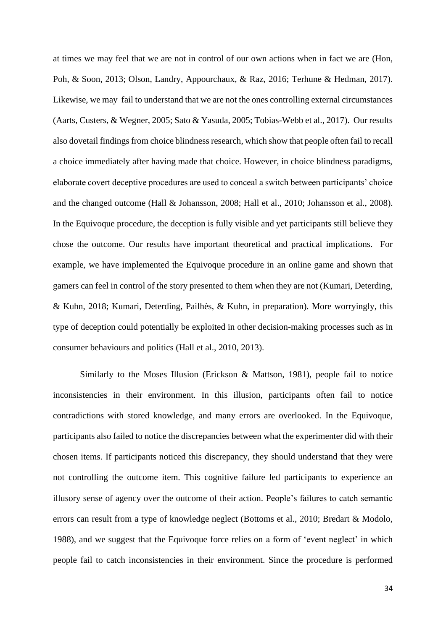at times we may feel that we are not in control of our own actions when in fact we are (Hon, Poh, & Soon, 2013; Olson, Landry, Appourchaux, & Raz, 2016; Terhune & Hedman, 2017). Likewise, we may fail to understand that we are not the ones controlling external circumstances (Aarts, Custers, & Wegner, 2005; Sato & Yasuda, 2005; Tobias-Webb et al., 2017). Our results also dovetail findings from choice blindnessresearch, which show that people often fail to recall a choice immediately after having made that choice. However, in choice blindness paradigms, elaborate covert deceptive procedures are used to conceal a switch between participants' choice and the changed outcome (Hall & Johansson, 2008; Hall et al., 2010; Johansson et al., 2008). In the Equivoque procedure, the deception is fully visible and yet participants still believe they chose the outcome. Our results have important theoretical and practical implications. For example, we have implemented the Equivoque procedure in an online game and shown that gamers can feel in control of the story presented to them when they are not (Kumari, Deterding, & Kuhn, 2018; Kumari, Deterding, Pailhès, & Kuhn, in preparation). More worryingly, this type of deception could potentially be exploited in other decision-making processes such as in consumer behaviours and politics (Hall et al., 2010, 2013).

Similarly to the Moses Illusion (Erickson & Mattson, 1981), people fail to notice inconsistencies in their environment. In this illusion, participants often fail to notice contradictions with stored knowledge, and many errors are overlooked. In the Equivoque, participants also failed to notice the discrepancies between what the experimenter did with their chosen items. If participants noticed this discrepancy, they should understand that they were not controlling the outcome item. This cognitive failure led participants to experience an illusory sense of agency over the outcome of their action. People's failures to catch semantic errors can result from a type of knowledge neglect (Bottoms et al., 2010; Bredart & Modolo, 1988), and we suggest that the Equivoque force relies on a form of 'event neglect' in which people fail to catch inconsistencies in their environment. Since the procedure is performed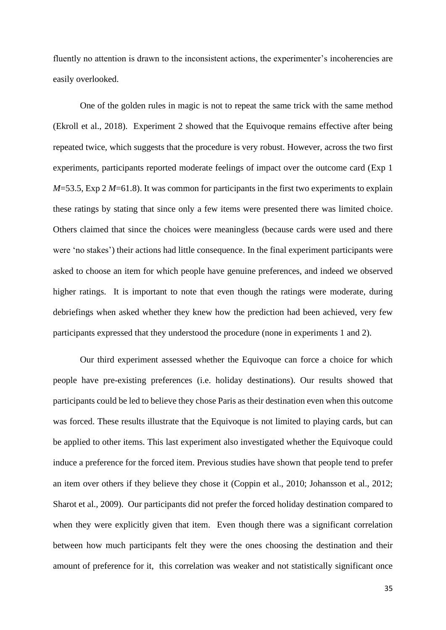fluently no attention is drawn to the inconsistent actions, the experimenter's incoherencies are easily overlooked.

One of the golden rules in magic is not to repeat the same trick with the same method (Ekroll et al., 2018). Experiment 2 showed that the Equivoque remains effective after being repeated twice, which suggests that the procedure is very robust. However, across the two first experiments, participants reported moderate feelings of impact over the outcome card (Exp 1 *M*=53.5, Exp 2 *M*=61.8). It was common for participants in the first two experiments to explain these ratings by stating that since only a few items were presented there was limited choice. Others claimed that since the choices were meaningless (because cards were used and there were 'no stakes') their actions had little consequence. In the final experiment participants were asked to choose an item for which people have genuine preferences, and indeed we observed higher ratings. It is important to note that even though the ratings were moderate, during debriefings when asked whether they knew how the prediction had been achieved, very few participants expressed that they understood the procedure (none in experiments 1 and 2).

Our third experiment assessed whether the Equivoque can force a choice for which people have pre-existing preferences (i.e. holiday destinations). Our results showed that participants could be led to believe they chose Paris as their destination even when this outcome was forced. These results illustrate that the Equivoque is not limited to playing cards, but can be applied to other items. This last experiment also investigated whether the Equivoque could induce a preference for the forced item. Previous studies have shown that people tend to prefer an item over others if they believe they chose it (Coppin et al., 2010; Johansson et al., 2012; Sharot et al., 2009). Our participants did not prefer the forced holiday destination compared to when they were explicitly given that item. Even though there was a significant correlation between how much participants felt they were the ones choosing the destination and their amount of preference for it, this correlation was weaker and not statistically significant once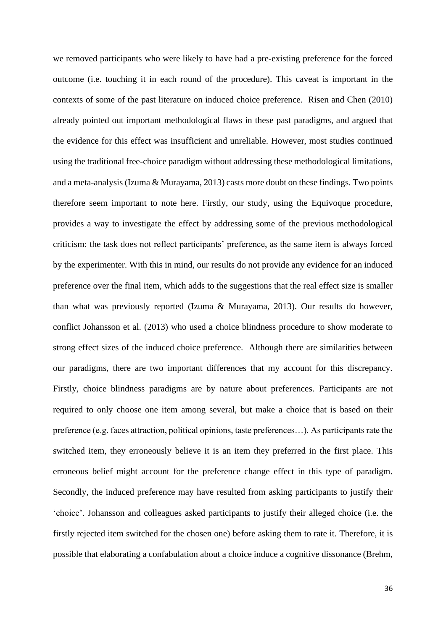we removed participants who were likely to have had a pre-existing preference for the forced outcome (i.e. touching it in each round of the procedure). This caveat is important in the contexts of some of the past literature on induced choice preference. Risen and Chen (2010) already pointed out important methodological flaws in these past paradigms, and argued that the evidence for this effect was insufficient and unreliable. However, most studies continued using the traditional free-choice paradigm without addressing these methodological limitations, and a meta-analysis (Izuma & Murayama, 2013) casts more doubt on these findings. Two points therefore seem important to note here. Firstly, our study, using the Equivoque procedure, provides a way to investigate the effect by addressing some of the previous methodological criticism: the task does not reflect participants' preference, as the same item is always forced by the experimenter. With this in mind, our results do not provide any evidence for an induced preference over the final item, which adds to the suggestions that the real effect size is smaller than what was previously reported (Izuma & Murayama, 2013). Our results do however, conflict Johansson et al. (2013) who used a choice blindness procedure to show moderate to strong effect sizes of the induced choice preference. Although there are similarities between our paradigms, there are two important differences that my account for this discrepancy. Firstly, choice blindness paradigms are by nature about preferences. Participants are not required to only choose one item among several, but make a choice that is based on their preference (e.g. faces attraction, political opinions, taste preferences…). As participants rate the switched item, they erroneously believe it is an item they preferred in the first place. This erroneous belief might account for the preference change effect in this type of paradigm. Secondly, the induced preference may have resulted from asking participants to justify their 'choice'. Johansson and colleagues asked participants to justify their alleged choice (i.e. the firstly rejected item switched for the chosen one) before asking them to rate it. Therefore, it is possible that elaborating a confabulation about a choice induce a cognitive dissonance (Brehm,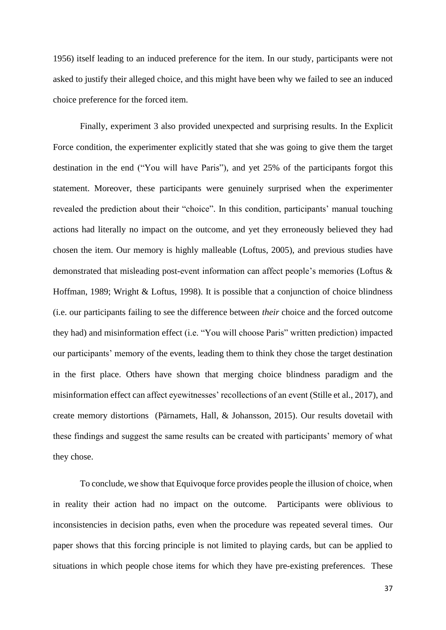1956) itself leading to an induced preference for the item. In our study, participants were not asked to justify their alleged choice, and this might have been why we failed to see an induced choice preference for the forced item.

Finally, experiment 3 also provided unexpected and surprising results. In the Explicit Force condition, the experimenter explicitly stated that she was going to give them the target destination in the end ("You will have Paris"), and yet 25% of the participants forgot this statement. Moreover, these participants were genuinely surprised when the experimenter revealed the prediction about their "choice". In this condition, participants' manual touching actions had literally no impact on the outcome, and yet they erroneously believed they had chosen the item. Our memory is highly malleable (Loftus, 2005), and previous studies have demonstrated that misleading post-event information can affect people's memories (Loftus & Hoffman, 1989; Wright & Loftus, 1998). It is possible that a conjunction of choice blindness (i.e. our participants failing to see the difference between *their* choice and the forced outcome they had) and misinformation effect (i.e. "You will choose Paris" written prediction) impacted our participants' memory of the events, leading them to think they chose the target destination in the first place. Others have shown that merging choice blindness paradigm and the misinformation effect can affect eyewitnesses' recollections of an event (Stille et al., 2017), and create memory distortions (Pärnamets, Hall, & Johansson, 2015). Our results dovetail with these findings and suggest the same results can be created with participants' memory of what they chose.

To conclude, we show that Equivoque force provides people the illusion of choice, when in reality their action had no impact on the outcome. Participants were oblivious to inconsistencies in decision paths, even when the procedure was repeated several times. Our paper shows that this forcing principle is not limited to playing cards, but can be applied to situations in which people chose items for which they have pre-existing preferences. These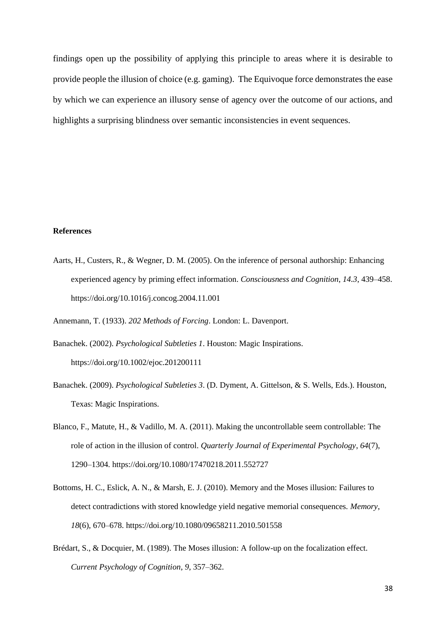findings open up the possibility of applying this principle to areas where it is desirable to provide people the illusion of choice (e.g. gaming). The Equivoque force demonstrates the ease by which we can experience an illusory sense of agency over the outcome of our actions, and highlights a surprising blindness over semantic inconsistencies in event sequences.

#### **References**

Aarts, H., Custers, R., & Wegner, D. M. (2005). On the inference of personal authorship: Enhancing experienced agency by priming effect information. *Consciousness and Cognition*, *14.3*, 439–458. https://doi.org/10.1016/j.concog.2004.11.001

Annemann, T. (1933). *202 Methods of Forcing*. London: L. Davenport.

- Banachek. (2002). *Psychological Subtleties 1*. Houston: Magic Inspirations. https://doi.org/10.1002/ejoc.201200111
- Banachek. (2009). *Psychological Subtleties 3*. (D. Dyment, A. Gittelson, & S. Wells, Eds.). Houston, Texas: Magic Inspirations.
- Blanco, F., Matute, H., & Vadillo, M. A. (2011). Making the uncontrollable seem controllable: The role of action in the illusion of control. *Quarterly Journal of Experimental Psychology*, *64*(7), 1290–1304. https://doi.org/10.1080/17470218.2011.552727
- Bottoms, H. C., Eslick, A. N., & Marsh, E. J. (2010). Memory and the Moses illusion: Failures to detect contradictions with stored knowledge yield negative memorial consequences. *Memory*, *18*(6), 670–678. https://doi.org/10.1080/09658211.2010.501558
- Brédart, S., & Docquier, M. (1989). The Moses illusion: A follow-up on the focalization effect. *Current Psychology of Cognition*, *9*, 357–362.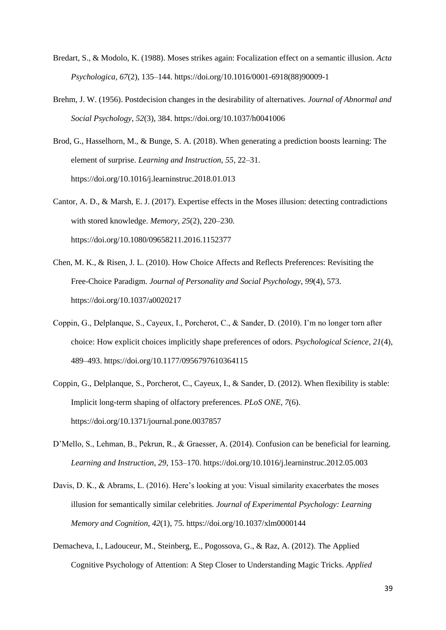- Bredart, S., & Modolo, K. (1988). Moses strikes again: Focalization effect on a semantic illusion. *Acta Psychologica*, *67*(2), 135–144. https://doi.org/10.1016/0001-6918(88)90009-1
- Brehm, J. W. (1956). Postdecision changes in the desirability of alternatives. *Journal of Abnormal and Social Psychology*, *52*(3), 384. https://doi.org/10.1037/h0041006
- Brod, G., Hasselhorn, M., & Bunge, S. A. (2018). When generating a prediction boosts learning: The element of surprise. *Learning and Instruction*, *55*, 22–31. https://doi.org/10.1016/j.learninstruc.2018.01.013
- Cantor, A. D., & Marsh, E. J. (2017). Expertise effects in the Moses illusion: detecting contradictions with stored knowledge. *Memory*, *25*(2), 220–230. https://doi.org/10.1080/09658211.2016.1152377
- Chen, M. K., & Risen, J. L. (2010). How Choice Affects and Reflects Preferences: Revisiting the Free-Choice Paradigm. *Journal of Personality and Social Psychology*, *99*(4), 573. https://doi.org/10.1037/a0020217
- Coppin, G., Delplanque, S., Cayeux, I., Porcherot, C., & Sander, D. (2010). I'm no longer torn after choice: How explicit choices implicitly shape preferences of odors. *Psychological Science*, *21*(4), 489–493. https://doi.org/10.1177/0956797610364115
- Coppin, G., Delplanque, S., Porcherot, C., Cayeux, I., & Sander, D. (2012). When flexibility is stable: Implicit long-term shaping of olfactory preferences. *PLoS ONE*, *7*(6). https://doi.org/10.1371/journal.pone.0037857
- D'Mello, S., Lehman, B., Pekrun, R., & Graesser, A. (2014). Confusion can be beneficial for learning. *Learning and Instruction*, *29*, 153–170. https://doi.org/10.1016/j.learninstruc.2012.05.003
- Davis, D. K., & Abrams, L. (2016). Here's looking at you: Visual similarity exacerbates the moses illusion for semantically similar celebrities. *Journal of Experimental Psychology: Learning Memory and Cognition*, *42*(1), 75. https://doi.org/10.1037/xlm0000144
- Demacheva, I., Ladouceur, M., Steinberg, E., Pogossova, G., & Raz, A. (2012). The Applied Cognitive Psychology of Attention: A Step Closer to Understanding Magic Tricks. *Applied*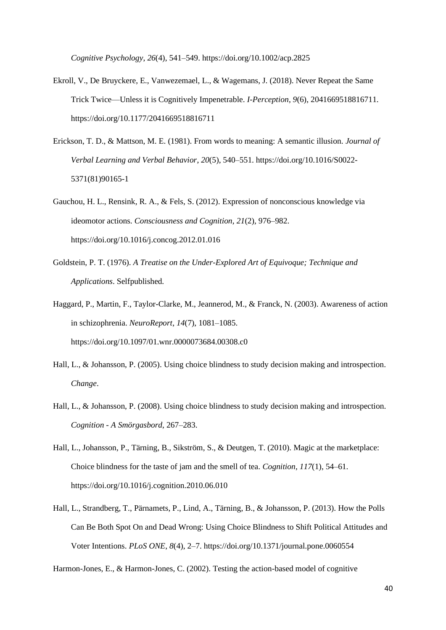*Cognitive Psychology*, *26*(4), 541–549. https://doi.org/10.1002/acp.2825

- Ekroll, V., De Bruyckere, E., Vanwezemael, L., & Wagemans, J. (2018). Never Repeat the Same Trick Twice—Unless it is Cognitively Impenetrable. *I-Perception*, *9*(6), 2041669518816711. https://doi.org/10.1177/2041669518816711
- Erickson, T. D., & Mattson, M. E. (1981). From words to meaning: A semantic illusion. *Journal of Verbal Learning and Verbal Behavior*, *20*(5), 540–551. https://doi.org/10.1016/S0022- 5371(81)90165-1
- Gauchou, H. L., Rensink, R. A., & Fels, S. (2012). Expression of nonconscious knowledge via ideomotor actions. *Consciousness and Cognition*, *21*(2), 976–982. https://doi.org/10.1016/j.concog.2012.01.016
- Goldstein, P. T. (1976). *A Treatise on the Under-Explored Art of Equivoque; Technique and Applications*. Selfpublished.
- Haggard, P., Martin, F., Taylor-Clarke, M., Jeannerod, M., & Franck, N. (2003). Awareness of action in schizophrenia. *NeuroReport*, *14*(7), 1081–1085. https://doi.org/10.1097/01.wnr.0000073684.00308.c0
- Hall, L., & Johansson, P. (2005). Using choice blindness to study decision making and introspection. *Change*.
- Hall, L., & Johansson, P. (2008). Using choice blindness to study decision making and introspection. *Cognition - A Smörgasbord*, 267–283.
- Hall, L., Johansson, P., Tärning, B., Sikström, S., & Deutgen, T. (2010). Magic at the marketplace: Choice blindness for the taste of jam and the smell of tea. *Cognition*, *117*(1), 54–61. https://doi.org/10.1016/j.cognition.2010.06.010
- Hall, L., Strandberg, T., Pärnamets, P., Lind, A., Tärning, B., & Johansson, P. (2013). How the Polls Can Be Both Spot On and Dead Wrong: Using Choice Blindness to Shift Political Attitudes and Voter Intentions. *PLoS ONE*, *8*(4), 2–7. https://doi.org/10.1371/journal.pone.0060554

Harmon-Jones, E., & Harmon-Jones, C. (2002). Testing the action-based model of cognitive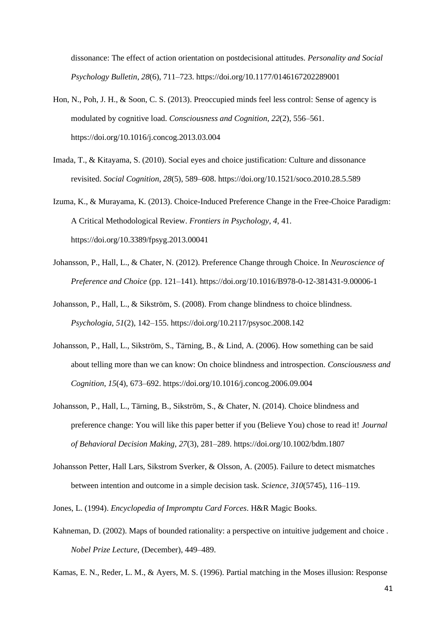dissonance: The effect of action orientation on postdecisional attitudes. *Personality and Social Psychology Bulletin*, *28*(6), 711–723. https://doi.org/10.1177/0146167202289001

- Hon, N., Poh, J. H., & Soon, C. S. (2013). Preoccupied minds feel less control: Sense of agency is modulated by cognitive load. *Consciousness and Cognition*, *22*(2), 556–561. https://doi.org/10.1016/j.concog.2013.03.004
- Imada, T., & Kitayama, S. (2010). Social eyes and choice justification: Culture and dissonance revisited. *Social Cognition*, *28*(5), 589–608. https://doi.org/10.1521/soco.2010.28.5.589
- Izuma, K., & Murayama, K. (2013). Choice-Induced Preference Change in the Free-Choice Paradigm: A Critical Methodological Review. *Frontiers in Psychology*, *4*, 41. https://doi.org/10.3389/fpsyg.2013.00041
- Johansson, P., Hall, L., & Chater, N. (2012). Preference Change through Choice. In *Neuroscience of Preference and Choice* (pp. 121–141). https://doi.org/10.1016/B978-0-12-381431-9.00006-1
- Johansson, P., Hall, L., & Sikström, S. (2008). From change blindness to choice blindness. *Psychologia*, *51*(2), 142–155. https://doi.org/10.2117/psysoc.2008.142
- Johansson, P., Hall, L., Sikström, S., Tärning, B., & Lind, A. (2006). How something can be said about telling more than we can know: On choice blindness and introspection. *Consciousness and Cognition*, *15*(4), 673–692. https://doi.org/10.1016/j.concog.2006.09.004
- Johansson, P., Hall, L., Tärning, B., Sikström, S., & Chater, N. (2014). Choice blindness and preference change: You will like this paper better if you (Believe You) chose to read it! *Journal of Behavioral Decision Making*, *27*(3), 281–289. https://doi.org/10.1002/bdm.1807
- Johansson Petter, Hall Lars, Sikstrom Sverker, & Olsson, A. (2005). Failure to detect mismatches between intention and outcome in a simple decision task. *Science*, *310*(5745), 116–119.
- Jones, L. (1994). *Encyclopedia of Impromptu Card Forces*. H&R Magic Books.
- Kahneman, D. (2002). Maps of bounded rationality: a perspective on intuitive judgement and choice . *Nobel Prize Lecture*, (December), 449–489.

Kamas, E. N., Reder, L. M., & Ayers, M. S. (1996). Partial matching in the Moses illusion: Response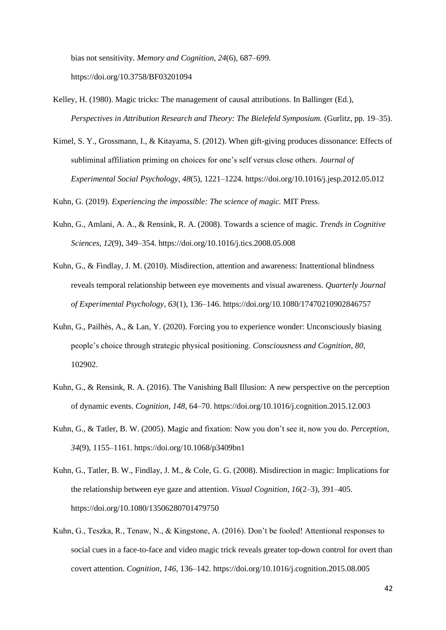bias not sensitivity. *Memory and Cognition*, *24*(6), 687–699. https://doi.org/10.3758/BF03201094

- Kelley, H. (1980). Magic tricks: The management of causal attributions. In Ballinger (Ed.), *Perspectives in Attribution Research and Theory: The Bielefeld Symposium.* (Gurlitz, pp. 19–35).
- Kimel, S. Y., Grossmann, I., & Kitayama, S. (2012). When gift-giving produces dissonance: Effects of subliminal affiliation priming on choices for one's self versus close others. *Journal of Experimental Social Psychology*, *48*(5), 1221–1224. https://doi.org/10.1016/j.jesp.2012.05.012

Kuhn, G. (2019). *Experiencing the impossible: The science of magic.* MIT Press.

- Kuhn, G., Amlani, A. A., & Rensink, R. A. (2008). Towards a science of magic. *Trends in Cognitive Sciences*, *12*(9), 349–354. https://doi.org/10.1016/j.tics.2008.05.008
- Kuhn, G., & Findlay, J. M. (2010). Misdirection, attention and awareness: Inattentional blindness reveals temporal relationship between eye movements and visual awareness. *Quarterly Journal of Experimental Psychology*, *63*(1), 136–146. https://doi.org/10.1080/17470210902846757
- Kuhn, G., Pailhès, A., & Lan, Y. (2020). Forcing you to experience wonder: Unconsciously biasing people's choice through strategic physical positioning. *Consciousness and Cognition*, *80*, 102902.
- Kuhn, G., & Rensink, R. A. (2016). The Vanishing Ball Illusion: A new perspective on the perception of dynamic events. *Cognition*, *148*, 64–70. https://doi.org/10.1016/j.cognition.2015.12.003
- Kuhn, G., & Tatler, B. W. (2005). Magic and fixation: Now you don't see it, now you do. *Perception*, *34*(9), 1155–1161. https://doi.org/10.1068/p3409bn1
- Kuhn, G., Tatler, B. W., Findlay, J. M., & Cole, G. G. (2008). Misdirection in magic: Implications for the relationship between eye gaze and attention. *Visual Cognition*, *16*(2–3), 391–405. https://doi.org/10.1080/13506280701479750
- Kuhn, G., Teszka, R., Tenaw, N., & Kingstone, A. (2016). Don't be fooled! Attentional responses to social cues in a face-to-face and video magic trick reveals greater top-down control for overt than covert attention. *Cognition*, *146*, 136–142. https://doi.org/10.1016/j.cognition.2015.08.005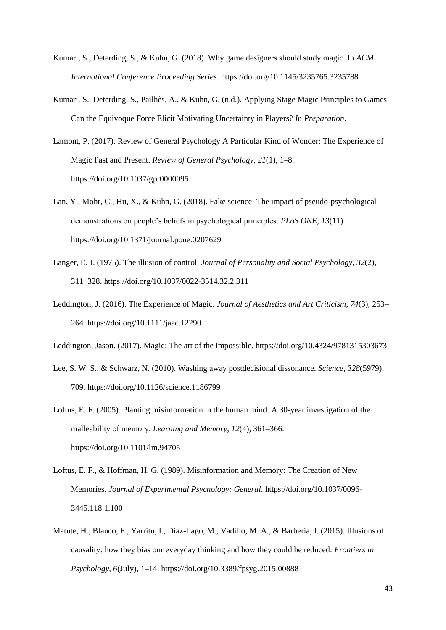- Kumari, S., Deterding, S., & Kuhn, G. (2018). Why game designers should study magic. In *ACM International Conference Proceeding Series*. https://doi.org/10.1145/3235765.3235788
- Kumari, S., Deterding, S., Pailhès, A., & Kuhn, G. (n.d.). Applying Stage Magic Principles to Games: Can the Equivoque Force Elicit Motivating Uncertainty in Players? *In Preparation*.
- Lamont, P. (2017). Review of General Psychology A Particular Kind of Wonder: The Experience of Magic Past and Present. *Review of General Psychology*, *21*(1), 1–8. https://doi.org/10.1037/gpr0000095
- Lan, Y., Mohr, C., Hu, X., & Kuhn, G. (2018). Fake science: The impact of pseudo-psychological demonstrations on people's beliefs in psychological principles. *PLoS ONE*, *13*(11). https://doi.org/10.1371/journal.pone.0207629
- Langer, E. J. (1975). The illusion of control. *Journal of Personality and Social Psychology*, *32*(2), 311–328. https://doi.org/10.1037/0022-3514.32.2.311
- Leddington, J. (2016). The Experience of Magic. *Journal of Aesthetics and Art Criticism*, *74*(3), 253– 264. https://doi.org/10.1111/jaac.12290

Leddington, Jason. (2017). Magic: The art of the impossible. https://doi.org/10.4324/9781315303673

- Lee, S. W. S., & Schwarz, N. (2010). Washing away postdecisional dissonance. *Science*, *328*(5979), 709. https://doi.org/10.1126/science.1186799
- Loftus, E. F. (2005). Planting misinformation in the human mind: A 30-year investigation of the malleability of memory. *Learning and Memory*, *12*(4), 361–366. https://doi.org/10.1101/lm.94705
- Loftus, E. F., & Hoffman, H. G. (1989). Misinformation and Memory: The Creation of New Memories. *Journal of Experimental Psychology: General*. https://doi.org/10.1037/0096- 3445.118.1.100
- Matute, H., Blanco, F., Yarritu, I., Díaz-Lago, M., Vadillo, M. A., & Barberia, I. (2015). Illusions of causality: how they bias our everyday thinking and how they could be reduced. *Frontiers in Psychology*, *6*(July), 1–14. https://doi.org/10.3389/fpsyg.2015.00888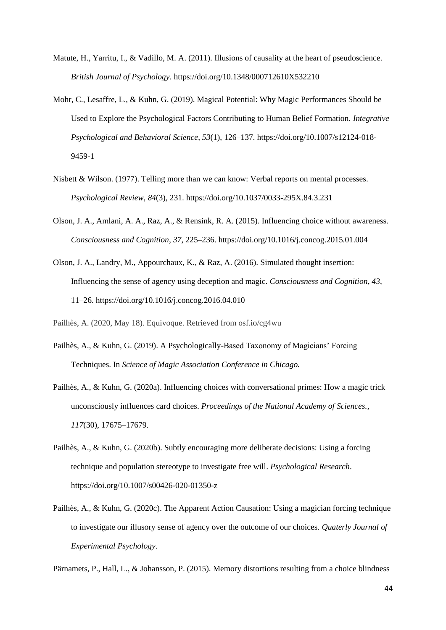- Matute, H., Yarritu, I., & Vadillo, M. A. (2011). Illusions of causality at the heart of pseudoscience. *British Journal of Psychology*. https://doi.org/10.1348/000712610X532210
- Mohr, C., Lesaffre, L., & Kuhn, G. (2019). Magical Potential: Why Magic Performances Should be Used to Explore the Psychological Factors Contributing to Human Belief Formation. *Integrative Psychological and Behavioral Science*, *53*(1), 126–137. https://doi.org/10.1007/s12124-018- 9459-1
- Nisbett & Wilson. (1977). Telling more than we can know: Verbal reports on mental processes. *Psychological Review*, *84*(3), 231. https://doi.org/10.1037/0033-295X.84.3.231
- Olson, J. A., Amlani, A. A., Raz, A., & Rensink, R. A. (2015). Influencing choice without awareness. *Consciousness and Cognition*, *37*, 225–236. https://doi.org/10.1016/j.concog.2015.01.004
- Olson, J. A., Landry, M., Appourchaux, K., & Raz, A. (2016). Simulated thought insertion: Influencing the sense of agency using deception and magic. *Consciousness and Cognition*, *43*, 11–26. https://doi.org/10.1016/j.concog.2016.04.010

Pailhès, A. (2020, May 18). Equivoque. Retrieved from osf.io/cg4wu

- Pailhès, A., & Kuhn, G. (2019). A Psychologically-Based Taxonomy of Magicians' Forcing Techniques. In *Science of Magic Association Conference in Chicago.*
- Pailhès, A., & Kuhn, G. (2020a). Influencing choices with conversational primes: How a magic trick unconsciously influences card choices. *Proceedings of the National Academy of Sciences.*, *117*(30), 17675–17679.
- Pailhès, A., & Kuhn, G. (2020b). Subtly encouraging more deliberate decisions: Using a forcing technique and population stereotype to investigate free will. *Psychological Research*. https://doi.org/10.1007/s00426-020-01350-z
- Pailhès, A., & Kuhn, G. (2020c). The Apparent Action Causation: Using a magician forcing technique to investigate our illusory sense of agency over the outcome of our choices. *Quaterly Journal of Experimental Psychology*.

Pärnamets, P., Hall, L., & Johansson, P. (2015). Memory distortions resulting from a choice blindness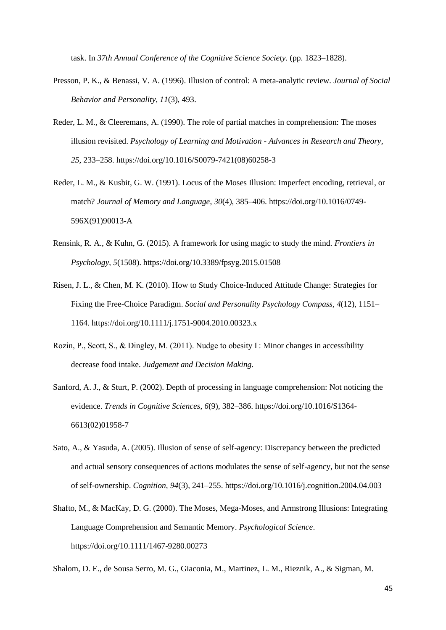task. In *37th Annual Conference of the Cognitive Science Society.* (pp. 1823–1828).

- Presson, P. K., & Benassi, V. A. (1996). Illusion of control: A meta-analytic review. *Journal of Social Behavior and Personality*, *11*(3), 493.
- Reder, L. M., & Cleeremans, A. (1990). The role of partial matches in comprehension: The moses illusion revisited. *Psychology of Learning and Motivation - Advances in Research and Theory*, *25*, 233–258. https://doi.org/10.1016/S0079-7421(08)60258-3
- Reder, L. M., & Kusbit, G. W. (1991). Locus of the Moses Illusion: Imperfect encoding, retrieval, or match? *Journal of Memory and Language*, *30*(4), 385–406. https://doi.org/10.1016/0749- 596X(91)90013-A
- Rensink, R. A., & Kuhn, G. (2015). A framework for using magic to study the mind. *Frontiers in Psychology*, *5*(1508). https://doi.org/10.3389/fpsyg.2015.01508
- Risen, J. L., & Chen, M. K. (2010). How to Study Choice-Induced Attitude Change: Strategies for Fixing the Free-Choice Paradigm. *Social and Personality Psychology Compass*, *4*(12), 1151– 1164. https://doi.org/10.1111/j.1751-9004.2010.00323.x
- Rozin, P., Scott, S., & Dingley, M. (2011). Nudge to obesity I : Minor changes in accessibility decrease food intake. *Judgement and Decision Making*.
- Sanford, A. J., & Sturt, P. (2002). Depth of processing in language comprehension: Not noticing the evidence. *Trends in Cognitive Sciences*, *6*(9), 382–386. https://doi.org/10.1016/S1364- 6613(02)01958-7
- Sato, A., & Yasuda, A. (2005). Illusion of sense of self-agency: Discrepancy between the predicted and actual sensory consequences of actions modulates the sense of self-agency, but not the sense of self-ownership. *Cognition*, *94*(3), 241–255. https://doi.org/10.1016/j.cognition.2004.04.003
- Shafto, M., & MacKay, D. G. (2000). The Moses, Mega-Moses, and Armstrong Illusions: Integrating Language Comprehension and Semantic Memory. *Psychological Science*. https://doi.org/10.1111/1467-9280.00273

Shalom, D. E., de Sousa Serro, M. G., Giaconia, M., Martinez, L. M., Rieznik, A., & Sigman, M.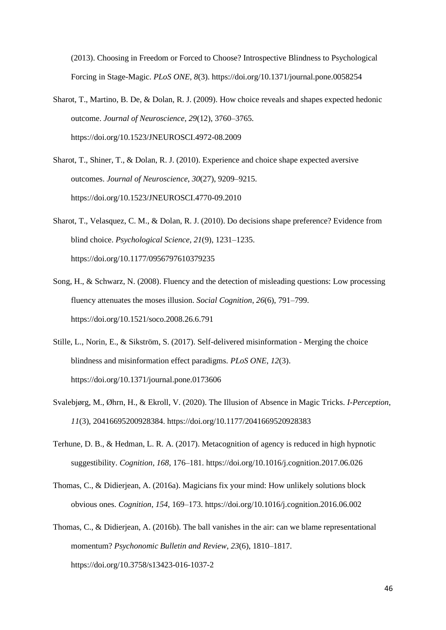(2013). Choosing in Freedom or Forced to Choose? Introspective Blindness to Psychological Forcing in Stage-Magic. *PLoS ONE*, *8*(3). https://doi.org/10.1371/journal.pone.0058254

- Sharot, T., Martino, B. De, & Dolan, R. J. (2009). How choice reveals and shapes expected hedonic outcome. *Journal of Neuroscience*, *29*(12), 3760–3765. https://doi.org/10.1523/JNEUROSCI.4972-08.2009
- Sharot, T., Shiner, T., & Dolan, R. J. (2010). Experience and choice shape expected aversive outcomes. *Journal of Neuroscience*, *30*(27), 9209–9215. https://doi.org/10.1523/JNEUROSCI.4770-09.2010
- Sharot, T., Velasquez, C. M., & Dolan, R. J. (2010). Do decisions shape preference? Evidence from blind choice. *Psychological Science*, *21*(9), 1231–1235. https://doi.org/10.1177/0956797610379235
- Song, H., & Schwarz, N. (2008). Fluency and the detection of misleading questions: Low processing fluency attenuates the moses illusion. *Social Cognition*, *26*(6), 791–799. https://doi.org/10.1521/soco.2008.26.6.791
- Stille, L., Norin, E., & Sikström, S. (2017). Self-delivered misinformation Merging the choice blindness and misinformation effect paradigms. *PLoS ONE*, *12*(3). https://doi.org/10.1371/journal.pone.0173606
- Svalebjørg, M., Øhrn, H., & Ekroll, V. (2020). The Illusion of Absence in Magic Tricks. *I-Perception*, *11*(3), 20416695200928384. https://doi.org/10.1177/2041669520928383
- Terhune, D. B., & Hedman, L. R. A. (2017). Metacognition of agency is reduced in high hypnotic suggestibility. *Cognition*, *168*, 176–181. https://doi.org/10.1016/j.cognition.2017.06.026
- Thomas, C., & Didierjean, A. (2016a). Magicians fix your mind: How unlikely solutions block obvious ones. *Cognition*, *154*, 169–173. https://doi.org/10.1016/j.cognition.2016.06.002
- Thomas, C., & Didierjean, A. (2016b). The ball vanishes in the air: can we blame representational momentum? *Psychonomic Bulletin and Review*, *23*(6), 1810–1817. https://doi.org/10.3758/s13423-016-1037-2